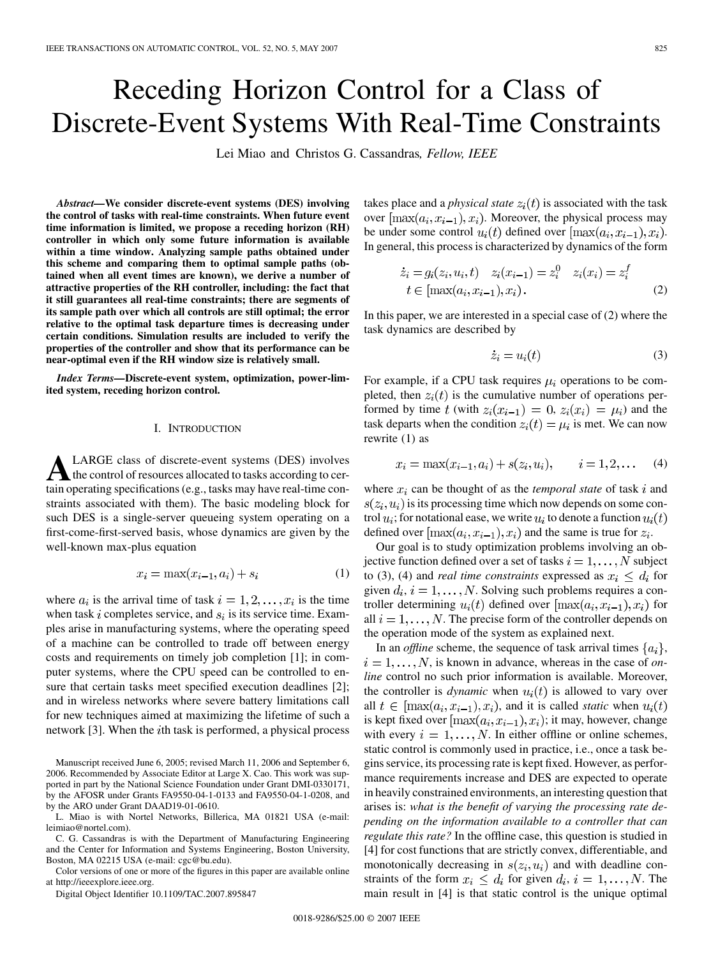# <span id="page-0-0"></span>Receding Horizon Control for a Class of Discrete-Event Systems With Real-Time Constraints

Lei Miao and Christos G. Cassandras*, Fellow, IEEE*

*Abstract—***We consider discrete-event systems (DES) involving the control of tasks with real-time constraints. When future event time information is limited, we propose a receding horizon (RH) controller in which only some future information is available within a time window. Analyzing sample paths obtained under this scheme and comparing them to optimal sample paths (obtained when all event times are known), we derive a number of attractive properties of the RH controller, including: the fact that it still guarantees all real-time constraints; there are segments of its sample path over which all controls are still optimal; the error relative to the optimal task departure times is decreasing under certain conditions. Simulation results are included to verify the properties of the controller and show that its performance can be near-optimal even if the RH window size is relatively small.**

*Index Terms—***Discrete-event system, optimization, power-limited system, receding horizon control.**

#### I. INTRODUCTION

ALARGE class of discrete-event systems (DES) involves<br>the control of resources allocated to tasks according to cer-<br>the population (e.g., tasks may have real, time contain operating specifications (e.g., tasks may have real-time constraints associated with them). The basic modeling block for such DES is a single-server queueing system operating on a first-come-first-served basis, whose dynamics are given by the well-known max-plus equation

$$
x_i = \max(x_{i-1}, a_i) + s_i \tag{1}
$$

where  $a_i$  is the arrival time of task  $i = 1, 2, \dots, x_i$  is the time when task i completes service, and  $s_i$  is its service time. Examples arise in manufacturing systems, where the operating speed of a machine can be controlled to trade off between energy costs and requirements on timely job completion [\[1\];](#page-14-0) in computer systems, where the CPU speed can be controlled to en-sure that certain tasks meet specified execution deadlines [\[2\]](#page-14-0); and in wireless networks where severe battery limitations call for new techniques aimed at maximizing the lifetime of such a network [\[3\].](#page-14-0) When the  $i$ th task is performed, a physical process

Manuscript received June 6, 2005; revised March 11, 2006 and September 6, 2006. Recommended by Associate Editor at Large X. Cao. This work was supported in part by the National Science Foundation under Grant DMI-0330171, by the AFOSR under Grants FA9550-04-1-0133 and FA9550-04-1-0208, and by the ARO under Grant DAAD19-01-0610.

L. Miao is with Nortel Networks, Billerica, MA 01821 USA (e-mail: leimiao@nortel.com).

C. G. Cassandras is with the Department of Manufacturing Engineering and the Center for Information and Systems Engineering, Boston University, Boston, MA 02215 USA (e-mail: cgc@bu.edu).

Color versions of one or more of the figures in this paper are available online at http://ieeexplore.ieee.org.

Digital Object Identifier 10.1109/TAC.2007.895847

takes place and a *physical state*  $z<sub>i</sub>(t)$  is associated with the task over  $\left[\max(a_i, x_{i-1}), x_i\right]$ . Moreover, the physical process may be under some control  $u_i(t)$  defined over  $[\max(a_i, x_{i-1}), x_i)$ . In general, this process is characterized by dynamics of the form

$$
\begin{aligned} \n\dot{z}_i &= g_i(z_i, u_i, t) & z_i(x_{i-1}) &= z_i^0 & z_i(x_i) &= z_i^I \\ \nt & \in [\max(a_i, x_{i-1}), x_i) \,. \n\end{aligned} \tag{2}
$$

In this paper, we are interested in a special case of (2) where the task dynamics are described by

$$
\dot{z}_i = u_i(t) \tag{3}
$$

For example, if a CPU task requires  $\mu_i$  operations to be completed, then  $z_i(t)$  is the cumulative number of operations performed by time t (with  $z_i(x_{i-1}) = 0$ ,  $z_i(x_i) = \mu_i$ ) and the task departs when the condition  $z_i(t) = \mu_i$  is met. We can now rewrite (1) as

$$
x_i = \max(x_{i-1}, a_i) + s(z_i, u_i), \qquad i = 1, 2, \dots \quad (4)
$$

where  $x_i$  can be thought of as the *temporal state* of task i and  $s(z_i, u_i)$  is its processing time which now depends on some control  $u_i$ ; for notational ease, we write  $u_i$  to denote a function  $u_i(t)$ defined over  $\lceil \max(a_i, x_{i-1}), x_i \rceil$  and the same is true for  $z_i$ .

Our goal is to study optimization problems involving an objective function defined over a set of tasks  $i = 1, \dots, N$  subject to (3), (4) and *real time constraints* expressed as  $x_i \leq d_i$  for given  $d_i$ ,  $i = 1, \ldots, N$ . Solving such problems requires a controller determining  $u_i(t)$  defined over  $\left[\max(a_i, x_{i-1}), x_i\right]$  for all  $i = 1, \ldots, N$ . The precise form of the controller depends on the operation mode of the system as explained next.

In an *offline* scheme, the sequence of task arrival times  $\{a_i\}$ ,  $i = 1, \ldots, N$ , is known in advance, whereas in the case of *online* control no such prior information is available. Moreover, the controller is *dynamic* when  $u_i(t)$  is allowed to vary over all  $t \in \left[ \max(a_i, x_{i-1}), x_i \right]$ , and it is called *static* when  $u_i(t)$ is kept fixed over  $[\max(a_i, x_{i-1}), x_i)$ ; it may, however, change with every  $i = 1, \ldots, N$ . In either offline or online schemes, static control is commonly used in practice, i.e., once a task begins service, its processing rate is kept fixed. However, as performance requirements increase and DES are expected to operate in heavily constrained environments, an interesting question that arises is: *what is the benefit of varying the processing rate depending on the information available to a controller that can regulate this rate?* In the offline case, this question is studied in [\[4\]](#page-14-0) for cost functions that are strictly convex, differentiable, and monotonically decreasing in  $s(z_i, u_i)$  and with deadline constraints of the form  $x_i \leq d_i$  for given  $d_i$ ,  $i = 1, \ldots, N$ . The main result in [\[4\]](#page-14-0) is that static control is the unique optimal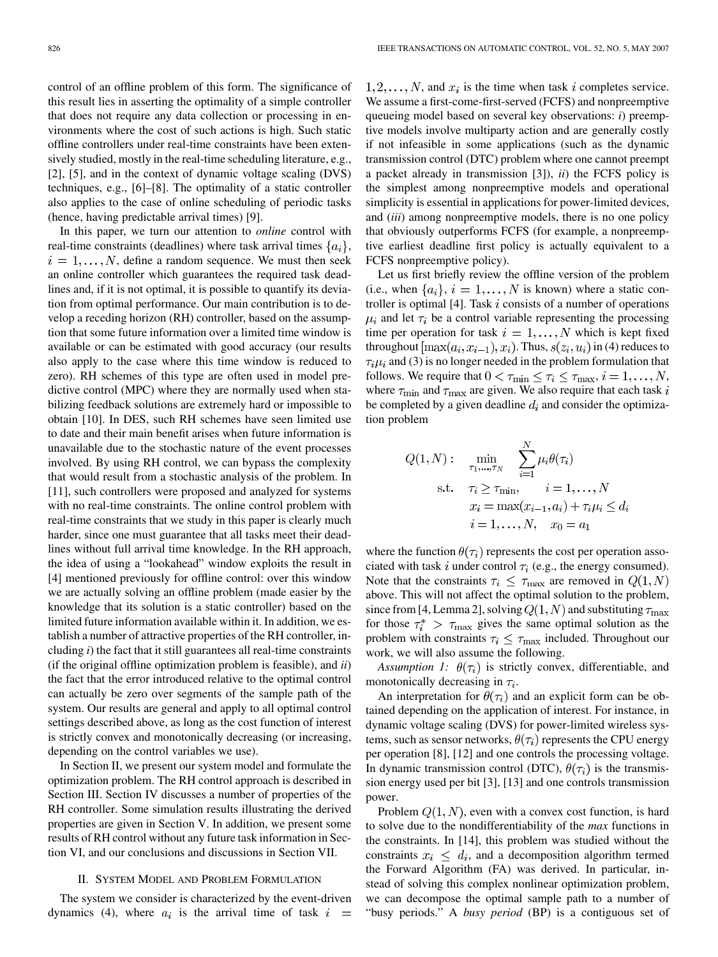<span id="page-1-0"></span>control of an offline problem of this form. The significance of this result lies in asserting the optimality of a simple controller that does not require any data collection or processing in environments where the cost of such actions is high. Such static offline controllers under real-time constraints have been extensively studied, mostly in the real-time scheduling literature, e.g., [\[2\]](#page-14-0), [\[5\],](#page-14-0) and in the context of dynamic voltage scaling (DVS) techniques, e.g., [\[6\]–\[8\]](#page-14-0). The optimality of a static controller also applies to the case of online scheduling of periodic tasks (hence, having predictable arrival times) [\[9\]](#page-14-0).

In this paper, we turn our attention to *online* control with real-time constraints (deadlines) where task arrival times  $\{a_i\}$ ,  $i = 1, \ldots, N$ , define a random sequence. We must then seek an online controller which guarantees the required task deadlines and, if it is not optimal, it is possible to quantify its deviation from optimal performance. Our main contribution is to develop a receding horizon (RH) controller, based on the assumption that some future information over a limited time window is available or can be estimated with good accuracy (our results also apply to the case where this time window is reduced to zero). RH schemes of this type are often used in model predictive control (MPC) where they are normally used when stabilizing feedback solutions are extremely hard or impossible to obtain [\[10\].](#page-14-0) In DES, such RH schemes have seen limited use to date and their main benefit arises when future information is unavailable due to the stochastic nature of the event processes involved. By using RH control, we can bypass the complexity that would result from a stochastic analysis of the problem. In [\[11\]](#page-14-0), such controllers were proposed and analyzed for systems with no real-time constraints. The online control problem with real-time constraints that we study in this paper is clearly much harder, since one must guarantee that all tasks meet their deadlines without full arrival time knowledge. In the RH approach, the idea of using a "lookahead" window exploits the result in [\[4\]](#page-14-0) mentioned previously for offline control: over this window we are actually solving an offline problem (made easier by the knowledge that its solution is a static controller) based on the limited future information available within it. In addition, we establish a number of attractive properties of the RH controller, including *i*) the fact that it still guarantees all real-time constraints (if the original offline optimization problem is feasible), and *ii*) the fact that the error introduced relative to the optimal control can actually be zero over segments of the sample path of the system. Our results are general and apply to all optimal control settings described above, as long as the cost function of interest is strictly convex and monotonically decreasing (or increasing, depending on the control variables we use).

In Section II, we present our system model and formulate the optimization problem. The RH control approach is described in [Section III](#page-2-0). [Section IV](#page-4-0) discusses a number of properties of the RH controller. Some simulation results illustrating the derived properties are given in [Section V.](#page-6-0) In addition, we present some results of RH control without any future task information in Section VI, and our conclusions and discussions in [Section VII.](#page-8-0)

## II. SYSTEM MODEL AND PROBLEM FORMULATION

The system we consider is characterized by the event-driven dynamics [\(4\)](#page-0-0), where  $a_i$  is the arrival time of task  $i =$ 

 $1, 2, \ldots, N$ , and  $x_i$  is the time when task i completes service. We assume a first-come-first-served (FCFS) and nonpreemptive queueing model based on several key observations: *i*) preemptive models involve multiparty action and are generally costly if not infeasible in some applications (such as the dynamic transmission control (DTC) problem where one cannot preempt a packet already in transmission [\[3\]](#page-14-0)), *ii*) the FCFS policy is the simplest among nonpreemptive models and operational simplicity is essential in applications for power-limited devices, and (*iii*) among nonpreemptive models, there is no one policy that obviously outperforms FCFS (for example, a nonpreemptive earliest deadline first policy is actually equivalent to a FCFS nonpreemptive policy).

Let us first briefly review the offline version of the problem (i.e., when  $\{a_i\}, i = 1, \ldots, N$  is known) where a static con-troller is optimal [\[4\].](#page-14-0) Task  $i$  consists of a number of operations  $\mu_i$  and let  $\tau_i$  be a control variable representing the processing time per operation for task  $i = 1, ..., N$  which is kept fixed throughout  $[\max(a_i, x_{i-1}), x_i)$ . Thus,  $s(z_i, u_i)$  in [\(4\)](#page-0-0) reduces to  $\tau_i \mu_i$  and [\(3\)](#page-0-0) is no longer needed in the problem formulation that follows. We require that  $0 < \tau_{\min} \leq \tau_i \leq \tau_{\max}, i = 1, \dots, N$ , where  $\tau_{\min}$  and  $\tau_{\max}$  are given. We also require that each task i be completed by a given deadline  $d_i$  and consider the optimization problem

$$
Q(1, N): \min_{\tau_1, \dots, \tau_N} \sum_{i=1}^N \mu_i \theta(\tau_i)
$$
  
s.t.  $\tau_i \ge \tau_{\min}, \quad i = 1, \dots, N$   
 $x_i = \max(x_{i-1}, a_i) + \tau_i \mu_i \le d_i$   
 $i = 1, \dots, N, \quad x_0 = a_1$ 

where the function  $\theta(\tau_i)$  represents the cost per operation associated with task i under control  $\tau_i$  (e.g., the energy consumed). Note that the constraints  $\tau_i \leq \tau_{\text{max}}$  are removed in  $Q(1, N)$ above. This will not affect the optimal solution to the problem, since from [\[4, Lemma 2\],](#page-14-0) solving  $Q(1, N)$  and substituting  $\tau_{\text{max}}$ for those  $\tau_i^*$  >  $\tau_{\text{max}}$  gives the same optimal solution as the problem with constraints  $\tau_i \leq \tau_{\text{max}}$  included. Throughout our work, we will also assume the following.

*Assumption 1:*  $\theta(\tau_i)$  is strictly convex, differentiable, and monotonically decreasing in  $\tau_i$ .

An interpretation for  $\theta(\tau_i)$  and an explicit form can be obtained depending on the application of interest. For instance, in dynamic voltage scaling (DVS) for power-limited wireless systems, such as sensor networks,  $\theta(\tau_i)$  represents the CPU energy per operation [\[8\], \[12\]](#page-14-0) and one controls the processing voltage. In dynamic transmission control (DTC),  $\theta(\tau_i)$  is the transmission energy used per bit [\[3\]](#page-14-0), [\[13\]](#page-14-0) and one controls transmission power.

Problem  $Q(1, N)$ , even with a convex cost function, is hard to solve due to the nondifferentiability of the *max* functions in [the constra](#page-7-0)ints. In [\[14\],](#page-14-0) this problem was studied without the constraints  $x_i \leq d_i$ , and a decomposition algorithm termed the Forward Algorithm (FA) was derived. In particular, instead of solving this complex nonlinear optimization problem, we can decompose the optimal sample path to a number of "busy periods." A *busy period* (BP) is a contiguous set of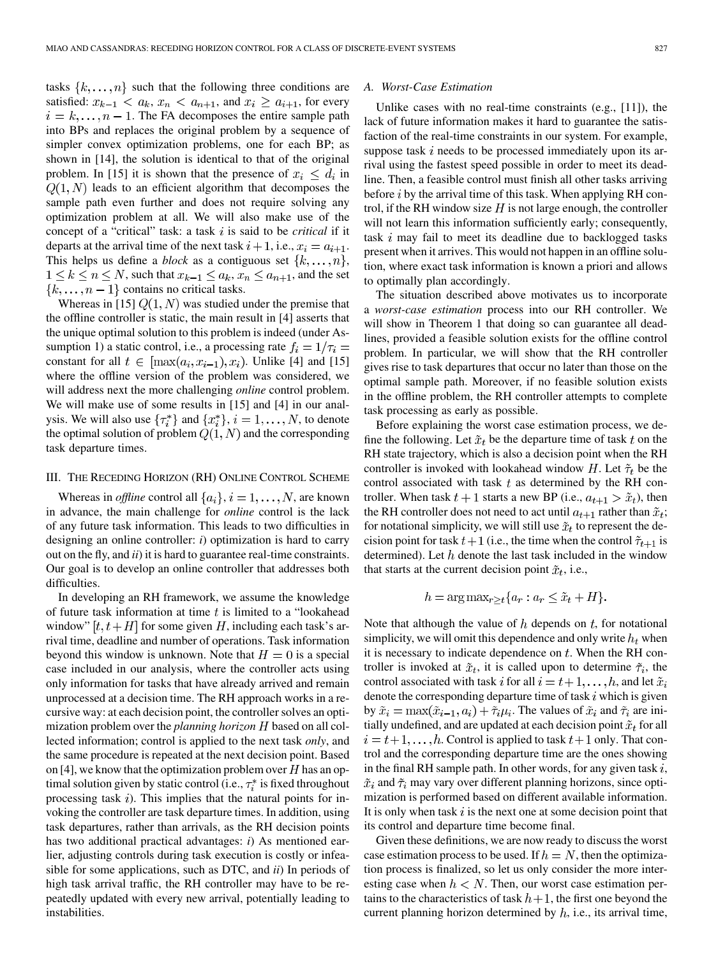<span id="page-2-0"></span>tasks  $\{k, \ldots, n\}$  such that the following three conditions are satisfied:  $x_{k-1} < a_k$ ,  $x_n < a_{n+1}$ , and  $x_i \ge a_{i+1}$ , for every  $i = k, \ldots, n - 1$ . The FA decomposes the entire sample path into BPs and replaces the original problem by a sequence of simpler convex optimization problems, one for each BP; as shown in [\[14\]](#page-14-0), the solution is identical to that of the original problem. In [\[15\]](#page-14-0) it is shown that the presence of  $x_i \leq d_i$  in  $Q(1, N)$  leads to an efficient algorithm that decomposes the sample path even further and does not require solving any optimization problem at all. We will also make use of the concept of a "critical" task: a task i is said to be *critical* if it departs at the arrival time of the next task  $i + 1$ , i.e.,  $x_i = a_{i+1}$ . This helps us define a *block* as a contiguous set  $\{k, \ldots, n\}$ ,  $1 \leq k \leq n \leq N$ , such that  $x_{k-1} \leq a_k, x_n \leq a_{n+1}$ , and the set  $\{k,\ldots,n-1\}$  contains no critical tasks.

Whereas in [\[15\]](#page-14-0)  $Q(1, N)$  was studied under the premise that the offline controller is static, the main result in [\[4\]](#page-14-0) asserts that the unique optimal solution to this problem is indeed (under Assumption 1) a static control, i.e., a processing rate  $f_i = 1/\tau_i =$ constant for all  $t \in [\max(a_i, x_{i-1}), x_i)$ . Unlike [\[4\]](#page-14-0) and [\[15\]](#page-14-0) where the offline version of the problem was considered, we will address next the more challenging *online* control problem. We will make use of some results in [\[15\]](#page-14-0) and [\[4\]](#page-14-0) in our analysis. We will also use  $\{\tau_i^*\}$  and  $\{x_i^*\}, i = 1, \ldots, N$ , to denote the optimal solution of problem  $Q(1, N)$  and the corresponding task departure times.

## III. THE RECEDING HORIZON (RH) ONLINE CONTROL SCHEME

Whereas in *offline* control all  $\{a_i\}$ ,  $i = 1, ..., N$ , are known in advance, the main challenge for *online* control is the lack of any future task information. This leads to two difficulties in designing an online controller: *i*) optimization is hard to carry out on the fly, and *ii*) it is hard to guarantee real-time constraints. Our goal is to develop an online controller that addresses both difficulties.

In developing an RH framework, we assume the knowledge of future task information at time  $t$  is limited to a "lookahead" window"  $[t, t + H]$  for some given H, including each task's arrival time, deadline and number of operations. Task information beyond this window is unknown. Note that  $H = 0$  is a special case included in our analysis, where the controller acts using only information for tasks that have already arrived and remain unprocessed at a decision time. The RH approach works in a recursive way: at each decision point, the controller solves an optimization problem over the *planning horizon*  $H$  based on all collected information; control is applied to the next task *only*, and the same procedure is repeated at the next decision point. Based on [\[4\]](#page-14-0), we know that the optimization problem over  $H$  has an optimal solution given by static control (i.e.,  $\tau_i^*$  is fixed throughout processing task  $i$ ). This implies that the natural points for invoking the controller are task departure times. In addition, using task departures, rather than arrivals, as the RH decision points has two additional practical advantages: *i*) As mentioned earlier, adjusting controls during task execution is costly or infeasible for some applications, such as DTC, and *ii*) In periods of high task arrival traffic, the RH controller may have to be repeatedly updated with every new arrival, potentially leading to instabilities.

## *A. Worst-Case Estimation*

Unlike cases with no real-time constraints (e.g., [\[11\]](#page-14-0)), the lack of future information makes it hard to guarantee the satisfaction of the real-time constraints in our system. For example, suppose task  $i$  needs to be processed immediately upon its arrival using the fastest speed possible in order to meet its deadline. Then, a feasible control must finish all other tasks arriving before  $i$  by the arrival time of this task. When applying RH control, if the RH window size  $H$  is not large enough, the controller will not learn this information sufficiently early; consequently, task  $i$  may fail to meet its deadline due to backlogged tasks present when it arrives. This would not happen in an offline solution, where exact task information is known a priori and allows to optimally plan accordingly.

The situation described above motivates us to incorporate a *worst-case estimation* process into our RH controller. We will show in Theorem 1 that doing so can guarantee all deadlines, provided a feasible solution exists for the offline control problem. In particular, we will show that the RH controller gives rise to task departures that occur no later than those on the optimal sample path. Moreover, if no feasible solution exists in the offline problem, the RH controller attempts to complete task processing as early as possible.

Before explaining the worst case estimation process, we define the following. Let  $\tilde{x}_t$  be the departure time of task t on the RH state trajectory, which is also a decision point when the RH controller is invoked with lookahead window H. Let  $\tilde{\tau}_t$  be the control associated with task  $t$  as determined by the RH controller. When task  $t + 1$  starts a new BP (i.e.,  $a_{t+1} > \tilde{x}_t$ ), then the RH controller does not need to act until  $a_{t+1}$  rather than  $\tilde{x}_t$ ; for notational simplicity, we will still use  $\tilde{x}_t$  to represent the decision point for task  $t+1$  (i.e., the time when the control  $\tilde{\tau}_{t+1}$  is determined). Let  $h$  denote the last task included in the window that starts at the current decision point  $\tilde{x}_t$ , i.e.,

$$
h = \arg \max_{r > t} \{ a_r : a_r \le \tilde{x}_t + H \}.
$$

Note that although the value of  $h$  depends on  $t$ , for notational simplicity, we will omit this dependence and only write  $h_t$  when it is necessary to indicate dependence on  $t$ . When the RH controller is invoked at  $\tilde{x}_t$ , it is called upon to determine  $\tilde{\tau}_i$ , the control associated with task i for all  $i = t + 1, \ldots, h$ , and let  $\tilde{x}_i$ denote the corresponding departure time of task  $i$  which is given by  $\tilde{x}_i = \max(\tilde{x}_{i-1}, a_i) + \tilde{\tau}_i \mu_i$ . The values of  $\tilde{x}_i$  and  $\tilde{\tau}_i$  are initially undefined, and are updated at each decision point  $\tilde{x}_t$  for all  $i = t+1, \ldots, h$ . Control is applied to task  $t+1$  only. That control and the corresponding departure time are the ones showing in the final RH sample path. In other words, for any given task  $i$ ,  $\tilde{x}_i$  and  $\tilde{\tau}_i$  may vary over different planning horizons, since optimization is performed based on different available information. It is only when task  $i$  is the next one at some decision point that its control and departure time become final.

Given these definitions, we are now ready to discuss the worst case estimation process to be used. If  $h = N$ , then the optimization process is finalized, so let us only consider the more interesting case when  $h < N$ . Then, our worst case estimation pertains to the characteristics of task  $h + 1$ , the first one beyond the current planning horizon determined by  $h$ , i.e., its arrival time,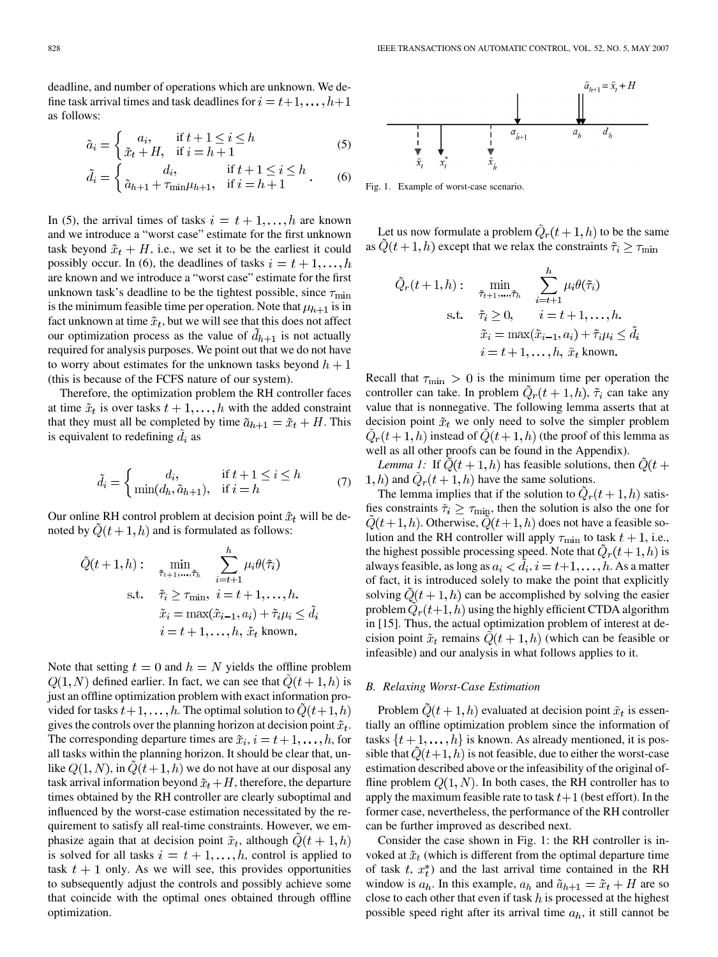<span id="page-3-0"></span>deadline, and number of operations which are unknown. We define task arrival times and task deadlines for  $i = t+1, \ldots, h+1$ as follows:

$$
\tilde{a}_i = \begin{cases}\na_i, & \text{if } t+1 \le i \le h \\
\tilde{x}_t + H, & \text{if } i = h+1\n\end{cases}\n\tag{5}
$$

$$
\tilde{d}_i = \begin{cases}\n d_i, & \text{if } t+1 \le i \le h \\
 \tilde{a}_{h+1} + \tau_{\min}\mu_{h+1}, & \text{if } i = h+1\n\end{cases} \tag{6}
$$

In (5), the arrival times of tasks  $i = t + 1, \ldots, h$  are known and we introduce a "worst case" estimate for the first unknown task beyond  $\tilde{x}_t + H$ , i.e., we set it to be the earliest it could possibly occur. In (6), the deadlines of tasks  $i = t + 1, \ldots, h$ are known and we introduce a "worst case" estimate for the first unknown task's deadline to be the tightest possible, since  $\tau_{\min}$ is the minimum feasible time per operation. Note that  $\mu_{h+1}$  is in fact unknown at time  $\tilde{x}_t$ , but we will see that this does not affect our optimization process as the value of  $d_{h+1}$  is not actually required for analysis purposes. We point out that we do not have to worry about estimates for the unknown tasks beyond  $h + 1$ (this is because of the FCFS nature of our system).

Therefore, the optimization problem the RH controller faces at time  $\tilde{x}_t$  is over tasks  $t+1,\ldots,h$  with the added constraint that they must all be completed by time  $\tilde{a}_{h+1} = \tilde{x}_t + H$ . This is equivalent to redefining  $d_i$  as

$$
\tilde{d}_i = \begin{cases}\n d_i, & \text{if } t + 1 \le i \le h \\
 \min(d_h, \tilde{a}_{h+1}), & \text{if } i = h\n\end{cases}\n\tag{7}
$$

Our online RH control problem at decision point  $\tilde{x}_t$  will be denoted by  $\tilde{Q}(t+1,h)$  and is formulated as follows:

$$
\tilde{Q}(t+1,h): \min_{\tilde{\tau}_{t+1},\dots,\tilde{\tau}_h} \sum_{i=t+1}^h \mu_i \theta(\tilde{\tau}_i)
$$
\ns.t.  $\tilde{\tau}_i \ge \tau_{\min}, \ i = t+1,\dots,h.$   
\n $\tilde{x}_i = \max(\tilde{x}_{i-1}, a_i) + \tilde{\tau}_i \mu_i \le \tilde{d}_i$   
\n $i = t+1,\dots,h, \ \tilde{x}_t \text{ known.}$ 

Note that setting  $t = 0$  and  $h = N$  yields the offline problem  $Q(1, N)$  defined earlier. In fact, we can see that  $\ddot{Q}(t + 1, h)$  is just an offline optimization problem with exact information provided for tasks  $t+1,\ldots,h$ . The optimal solution to  $\ddot{Q}(t+1,h)$ gives the controls over the planning horizon at decision point  $\tilde{x}_t$ . The corresponding departure times are  $\tilde{x}_i$ ,  $i = t+1, \ldots, h$ , for all tasks within the planning horizon. It should be clear that, unlike  $Q(1, N)$ , in  $Q(t + 1, h)$  we do not have at our disposal any task arrival information beyond  $\tilde{x}_t + H$ , therefore, the departure times obtained by the RH controller are clearly suboptimal and influenced by the worst-case estimation necessitated by the requirement to satisfy all real-time constraints. However, we emphasize again that at decision point  $\tilde{x}_t$ , although  $Q(t + 1, h)$ is solved for all tasks  $i = t + 1, \ldots, h$ , control is applied to task  $t + 1$  only. As we will see, this provides opportunities to subsequently adjust the controls and possibly achieve some that coincide with the optimal ones obtained through offline optimization.



Fig. 1. Example of worst-case scenario.

Let us now formulate a problem  $\ddot{Q}_r(t+1,h)$  to be the same as  $\tilde{Q}(t+1,h)$  except that we relax the constraints  $\tilde{\tau}_i \geq \tau_{\min}$ 

$$
\tilde{Q}_r(t+1,h): \min_{\tilde{\tau}_{t+1},\dots,\tilde{\tau}_h} \sum_{i=t+1}^h \mu_i \theta(\tilde{\tau}_i)
$$
\n
$$
\text{s.t.} \quad \tilde{\tau}_i \ge 0, \qquad i = t+1,\dots,h.
$$
\n
$$
\tilde{x}_i = \max(\tilde{x}_{i-1}, a_i) + \tilde{\tau}_i \mu_i \le \tilde{d}_i
$$
\n
$$
i = t+1,\dots,h, \ \tilde{x}_t \text{ known.}
$$

Recall that  $\tau_{\min} > 0$  is the minimum time per operation the controller can take. In problem  $\ddot{Q}_r(t+1,h)$ ,  $\tilde{\tau}_i$  can take any value that is nonnegative. The following lemma asserts that at decision point  $\tilde{x}_t$  we only need to solve the simpler problem  $\ddot{Q}_r(t+1,h)$  instead of  $Q(t+1,h)$  (the proof of this lemma as well as all other proofs can be found in the [Appendix](#page-9-0)).

*Lemma 1:* If  $\tilde{Q}(t+1,h)$  has feasible solutions, then  $\tilde{Q}(t+1,h)$ 1, h) and  $\tilde{Q}_r(t+1,h)$  have the same solutions.

The lemma implies that if the solution to  $\ddot{Q}_r(t+1,h)$  satisfies constraints  $\tilde{\tau}_i \geq \tau_{\text{min}}$ , then the solution is also the one for  $\ddot{Q}(t+1,h)$ . Otherwise,  $\ddot{Q}(t+1,h)$  does not have a feasible solution and the RH controller will apply  $\tau_{\min}$  to task  $t + 1$ , i.e., the highest possible processing speed. Note that  $Q_r(t+1,h)$  is always feasible, as long as  $a_i < d_i$ ,  $i = t+1, \ldots, h$ . As a matter of fact, it is introduced solely to make the point that explicitly solving  $Q(t + 1, h)$  can be accomplished by solving the easier problem  $Q_r(t+1,h)$  using the highly efficient CTDA algorithm in [\[15\]](#page-14-0). Thus, the actual optimization problem of interest at decision point  $\tilde{x}_t$  remains  $Q(t + 1, h)$  (which can be feasible or infeasible) and our analysis in what follows applies to it.

## *B. Relaxing Worst-Case Estimation*

Problem  $\ddot{Q}(t+1,h)$  evaluated at decision point  $\tilde{x}_t$  is essentially an offline optimization problem since the information of tasks  $\{t+1,\ldots,h\}$  is known. As already mentioned, it is possible that  $\ddot{Q}(t+1,h)$  is not feasible, due to either the worst-case estimation described above or the infeasibility of the original offline problem  $Q(1, N)$ . In both cases, the RH controller has to apply the maximum feasible rate to task  $t+1$  (best effort). In the former case, nevertheless, the performance of the RH controller can be further improved as described next.

Consider the case shown in Fig. 1: the RH controller is invoked at  $\tilde{x}_t$  (which is different from the optimal departure time of task  $t, x_t^*$  and the last arrival time contained in the RH window is  $a_h$ . In this example,  $a_h$  and  $\tilde{a}_{h+1} = \tilde{x}_t + H$  are so close to each other that even if task  $h$  is processed at the highest possible speed right after its arrival time  $a_h$ , it still cannot be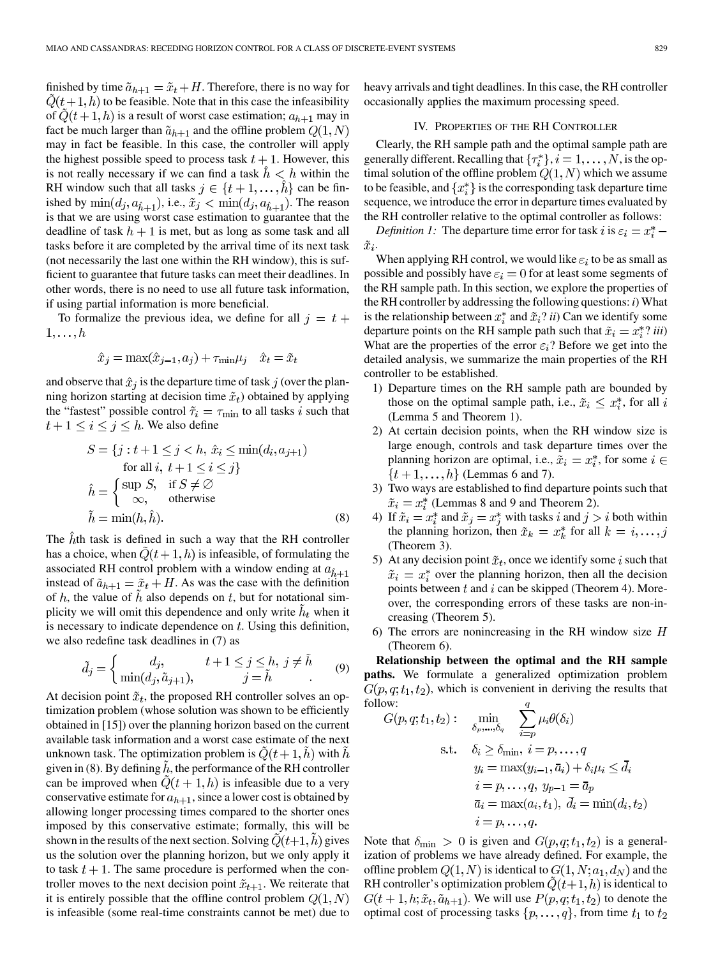<span id="page-4-0"></span>finished by time  $\tilde{a}_{h+1} = \tilde{x}_t + H$ . Therefore, there is no way for  $Q(t+1,h)$  to be feasible. Note that in this case the infeasibility of  $\ddot{Q}(t+1,h)$  is a result of worst case estimation;  $a_{h+1}$  may in fact be much larger than  $\tilde{a}_{h+1}$  and the offline problem  $Q(1, N)$ may in fact be feasible. In this case, the controller will apply the highest possible speed to process task  $t + 1$ . However, this is not really necessary if we can find a task  $\hat{h} < h$  within the RH window such that all tasks  $j \in \{t+1, \ldots, \hat{h}\}\)$  can be finished by  $\min(d_j, a_{\hat{h}+1})$ , i.e.,  $\tilde{x}_j < \min(d_j, a_{\hat{h}+1})$ . The reason is that we are using worst case estimation to guarantee that the deadline of task  $h + 1$  is met, but as long as some task and all tasks before it are completed by the arrival time of its next task (not necessarily the last one within the RH window), this is sufficient to guarantee that future tasks can meet their deadlines. In other words, there is no need to use all future task information, if using partial information is more beneficial.

To formalize the previous idea, we define for all  $j = t +$  $1,\ldots,h$ 

$$
\hat{x}_j = \max(\hat{x}_{j-1}, a_j) + \tau_{\min}\mu_j \quad \hat{x}_t = \tilde{x}_t
$$

and observe that  $\hat{x}_j$  is the departure time of task j (over the planning horizon starting at decision time  $\tilde{x}_t$ ) obtained by applying the "fastest" possible control  $\tilde{\tau}_i = \tau_{\min}$  to all tasks i such that  $t+1 \leq i \leq j \leq h$ . We also define

$$
S = \{j : t + 1 \le j < h, \hat{x}_i \le \min(d_i, a_{j+1})
$$
\nfor all  $i, t + 1 \le i \le j\}$ \n
$$
\hat{h} = \begin{cases}\n\sup S, & \text{if } S \neq \emptyset \\
\infty, & \text{otherwise}\n\end{cases}
$$
\n
$$
\tilde{h} = \min(h, \hat{h}).\n\tag{8}
$$

The *th task is defined in such a way that the RH controller* has a choice, when  $Q(t+1,h)$  is infeasible, of formulating the associated RH control problem with a window ending at  $a_{\hat{h}+1}$ instead of  $\tilde{a}_{h+1} = \tilde{x}_t + H$ . As was the case with the definition of  $h$ , the value of  $\hat{h}$  also depends on  $t$ , but for notational simplicity we will omit this dependence and only write  $h_t$  when it is necessary to indicate dependence on  $t$ . Using this definition, we also redefine task deadlines in [\(7\)](#page-3-0) as

$$
\tilde{d}_j = \begin{cases}\n d_j, & t+1 \le j \le h, \ j \neq \tilde{h} \\
 \min(d_j, \tilde{a}_{j+1}), & j = \tilde{h}\n\end{cases}
$$
\n(9)

At decision point  $\tilde{x}_t$ , the proposed RH controller solves an optimization problem (whose solution was shown to be efficiently obtained in [\[15\]](#page-14-0)) over the planning horizon based on the current available task information and a worst case estimate of the next unknown task. The optimization problem is  $Q(t+1, h)$  with  $h$ given in (8). By defining  $h$ , the performance of the RH controller can be improved when  $\ddot{Q}(t+1,h)$  is infeasible due to a very conservative estimate for  $a_{h+1}$ , since a lower cost is obtained by allowing longer processing times compared to the shorter ones imposed by this conservative estimate; formally, this will be shown in the results of the next section. Solving  $Q(t+1, h)$  gives us the solution over the planning horizon, but we only apply it to task  $t + 1$ . The same procedure is performed when the controller moves to the next decision point  $\tilde{x}_{t+1}$ . We reiterate that it is entirely possible that the offline control problem  $Q(1, N)$ is infeasible (some real-time constraints cannot be met) due to

heavy arrivals and tight deadlines. In this case, the RH controller occasionally applies the maximum processing speed.

## IV. PROPERTIES OF THE RH CONTROLLER

Clearly, the RH sample path and the optimal sample path are generally different. Recalling that  $\{\tau_i^*\}, i = 1, \ldots, N$ , is the optimal solution of the offline problem  $Q(1, N)$  which we assume to be feasible, and  $\{x_i^*\}$  is the corresponding task departure time sequence, we introduce the error in departure times evaluated by the RH controller relative to the optimal controller as follows:

*Definition 1:* The departure time error for task i is  $\varepsilon_i = x_i^*$  $\tilde{x}_i.$ 

When applying RH control, we would like  $\varepsilon_i$  to be as small as possible and possibly have  $\varepsilon_i = 0$  for at least some segments of the RH sample path. In this section, we explore the properties of the RH controller by addressing the following questions: *i*) What is the relationship between  $x_i^*$  and  $\tilde{x}_i$ ? *ii*) Can we identify some departure points on the RH sample path such that  $\tilde{x}_i = x_i^* ? iii$ What are the properties of the error  $\varepsilon_i$ ? Before we get into the detailed analysis, we summarize the main properties of the RH controller to be established.

- 1) Departure times on the RH sample path are bounded by those on the optimal sample path, i.e.,  $\tilde{x}_i \leq x_i^*$ , for all i (Lemma 5 and Theorem 1).
- 2) At certain decision points, when the RH window size is large enough, controls and task departure times over the planning horizon are optimal, i.e.,  $\tilde{x}_i = x_i^*$ , for some  $i \in$  $\{t+1,\ldots,h\}$  (Lemmas 6 and 7).
- 3) Two ways are established to find departure points such that  $\tilde{x}_i = x_i^*$  (Lemmas 8 and 9 and Theorem 2).
- 4) If  $\tilde{x}_i = x_i^*$  and  $\tilde{x}_j = x_j^*$  with tasks i and  $j > i$  both within the planning horizon, then  $\tilde{x}_k = x_k^*$  for all  $k = i, \dots, j$ (Theorem 3).
- 5) At any decision point  $\tilde{x}_t$ , once we identify some i such that  $\tilde{x}_i = x_i^*$  over the planning horizon, then all the decision points between  $t$  and  $i$  can be skipped (Theorem 4). Moreover, the corresponding errors of these tasks are non-increasing (Theorem 5).
- 6) The errors are nonincreasing in the RH window size  $H$ (Theorem 6).

**Relationship between the optimal and the RH sample paths.** We formulate a generalized optimization problem  $G(p, q; t_1, t_2)$ , which is convenient in deriving the results that follow:

$$
G(p,q;t_1,t_2): \quad \min_{\delta_p,\dots,\delta_q} \quad \sum_{i=p} \mu_i \theta(\delta_i)
$$
  
s.t.  $\delta_i \ge \delta_{\min}, \ i = p, \dots, q$   
 $y_i = \max(y_{i-1}, \bar{a}_i) + \delta_i \mu_i \le \bar{d}_i$   
 $i = p, \dots, q, \ y_{p-1} = \bar{a}_p$   
 $\bar{a}_i = \max(a_i, t_1), \ \bar{d}_i = \min(d_i, t_2)$   
 $i = p, \dots, q.$ 

Note that  $\delta_{\min} > 0$  is given and  $G(p, q; t_1, t_2)$  is a generalization of problems we have already defined. For example, the offline problem  $Q(1, N)$  is identical to  $G(1, N; a_1, d_N)$  and the RH controller's optimization problem  $\tilde{Q}(t+1,h)$  is identical to  $G(t+1,h;\tilde{x}_t,\tilde{a}_{h+1})$ . We will use  $P(p,q;t_1,t_2)$  to denote the optimal cost of processing tasks  $\{p, \ldots, q\}$ , from time  $t_1$  to  $t_2$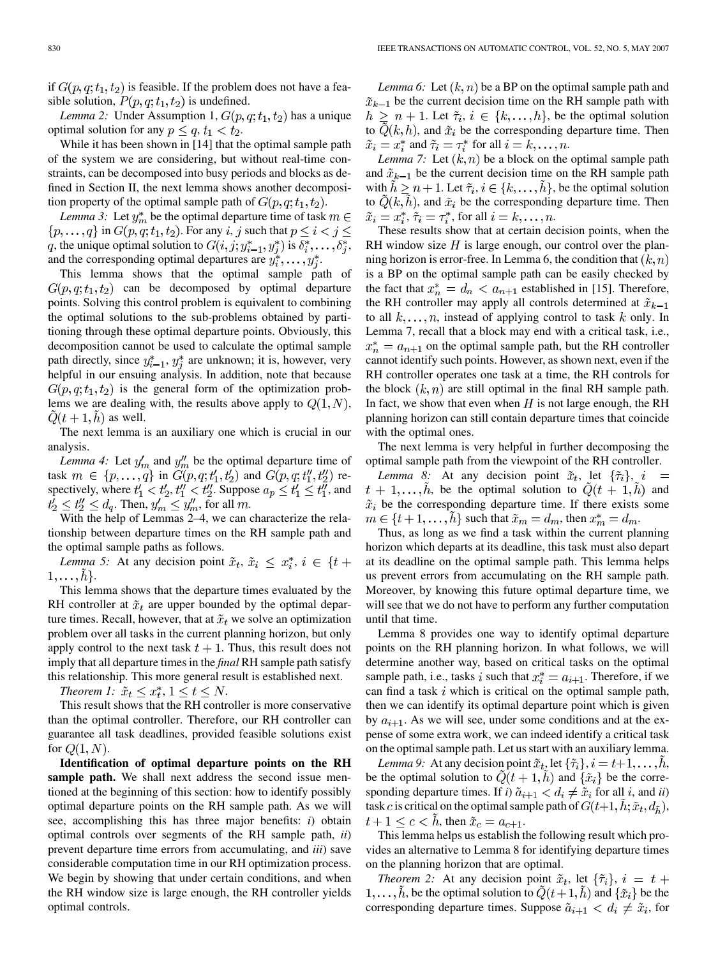if  $G(p, q; t_1, t_2)$  is feasible. If the problem does not have a feasible solution,  $P(p, q; t_1, t_2)$  is undefined.

*Lemma 2:* Under Assumption 1,  $G(p, q; t_1, t_2)$  has a unique optimal solution for any  $p \le q$ ,  $t_1 < t_2$ .

While it has been shown in [\[14\]](#page-14-0) that the optimal sample path of the system we are considering, but without real-time constraints, can be decomposed into busy periods and blocks as defined in [Section II,](#page-1-0) the next lemma shows another decomposition property of the optimal sample path of  $G(p, q; t_1, t_2)$ .

*Lemma 3:* Let  $y_m^*$  be the optimal departure time of task  $m \in$  $\{p,\ldots,q\}$  in  $G(p,q;t_1,t_2)$ . For any i, j such that  $p \leq i < j \leq n$ q, the unique optimal solution to  $G(i, j; y^*_{i-1}, y^*_i)$  is  $\delta^*_i, \ldots, \delta^*_i$ , and the corresponding optimal departures are  $y_i^*, \ldots, y_i^*$ .

This lemma shows that the optimal sample path of  $G(p, q; t_1, t_2)$  can be decomposed by optimal departure points. Solving this control problem is equivalent to combining the optimal solutions to the sub-problems obtained by partitioning through these optimal departure points. Obviously, this decomposition cannot be used to calculate the optimal sample path directly, since  $y_{i-1}^*$ ,  $y_i^*$  are unknown; it is, however, very helpful in our ensuing analysis. In addition, note that because  $G(p, q; t_1, t_2)$  is the general form of the optimization problems we are dealing with, the results above apply to  $Q(1, N)$ ,  $Q(t+1, h)$  as well.

The next lemma is an auxiliary one which is crucial in our analysis.

*Lemma 4:* Let  $y'_m$  and  $y''_m$  be the optimal departure time of task  $m \in \{p, ..., q\}$  in  $G(p, q; t'_1, t'_2)$  and  $G(p, q; t''_1, t''_2)$  respectively, where  $t'_1 < t'_2$ ,  $t''_1 < t''_2$ . Suppose  $a_p \leq t'_1 \leq t''_1$ , and  $t'_2 \leq t''_2 \leq d_q$ . Then,  $y'_m \leq y''_m$ , for all m.

With the help of Lemmas 2–4, we can characterize the relationship between departure times on the RH sample path and the optimal sample paths as follows.

*Lemma 5:* At any decision point  $\tilde{x}_t$ ,  $\tilde{x}_i \leq x_i^*$ ,  $i \in \{t +$  $1,\ldots,h$ .

This lemma shows that the departure times evaluated by the RH controller at  $\tilde{x}_t$  are upper bounded by the optimal departure times. Recall, however, that at  $\tilde{x}_t$  we solve an optimization problem over all tasks in the current planning horizon, but only apply control to the next task  $t + 1$ . Thus, this result does not imply that all departure times in the *final* RH sample path satisfy this relationship. This more general result is established next.

*Theorem 1:*  $\tilde{x}_t \leq x_t^*$ ,  $1 \leq t \leq N$ .

This result shows that the RH controller is more conservative than the optimal controller. Therefore, our RH controller can guarantee all task deadlines, provided feasible solutions exist for  $Q(1, N)$ .

**Identification of optimal departure points on the RH sample path.** We shall next address the second issue mentioned at the beginning of this section: how to identify possibly optimal departure points on the RH sample path. As we will see, accomplishing this has three major benefits: *i*) obtain optimal controls over segments of the RH sample path, *ii*) prevent departure time errors from accumulating, and *iii*) save considerable computation time in our RH optimization process. We begin by showing that under certain conditions, and when the RH window size is large enough, the RH controller yields optimal controls.

*Lemma 6:* Let  $(k, n)$  be a BP on the optimal sample path and  $\tilde{x}_{k-1}$  be the current decision time on the RH sample path with  $h \geq n + 1$ . Let  $\tilde{\tau}_i, i \in \{k, ..., h\}$ , be the optimal solution to  $Q(k, h)$ , and  $\tilde{x}_i$  be the corresponding departure time. Then  $\tilde{x}_i = x_i^*$  and  $\tilde{\tau}_i = \tau_i^*$  for all  $i = k, \ldots, n$ .

*Lemma 7:* Let  $(k, n)$  be a block on the optimal sample path and  $\tilde{x}_{k-1}$  be the current decision time on the RH sample path with  $\tilde{h} \ge n + 1$ . Let  $\tilde{\tau}_i, i \in \{k, \dots, \tilde{h}\}$ , be the optimal solution to  $\tilde{Q}(k, \tilde{h})$ , and  $\tilde{x}_i$  be the corresponding departure time. Then  $\tilde{x}_i = x_i^*, \tilde{\tau}_i = \tau_i^*,$  for all  $i = k, \ldots, n$ .

These results show that at certain decision points, when the RH window size  $H$  is large enough, our control over the planning horizon is error-free. In Lemma 6, the condition that  $(k, n)$ is a BP on the optimal sample path can be easily checked by the fact that  $x_n^* = d_n < a_{n+1}$  established in [\[15\]](#page-14-0). Therefore, the RH controller may apply all controls determined at  $\tilde{x}_{k-1}$ to all  $k, \ldots, n$ , instead of applying control to task k only. In Lemma 7, recall that a block may end with a critical task, i.e.,  $x_n^* = a_{n+1}$  on the optimal sample path, but the RH controller cannot identify such points. However, as shown next, even if the RH controller operates one task at a time, the RH controls for the block  $(k, n)$  are still optimal in the final RH sample path. In fact, we show that even when  $H$  is not large enough, the RH planning horizon can still contain departure times that coincide with the optimal ones.

The next lemma is very helpful in further decomposing the optimal sample path from the viewpoint of the RH controller.

*Lemma 8:* At any decision point  $\tilde{x}_t$ , let  $\{\tilde{\tau}_i\}$ ,  $i =$  $t + 1, \ldots, h$ , be the optimal solution to  $\tilde{Q}(t + 1, \tilde{h})$  and  $\tilde{x}_i$  be the corresponding departure time. If there exists some  $m \in \{t+1,\ldots,h\}$  such that  $\tilde{x}_m = d_m$ , then  $x_m^* = d_m$ .

Thus, as long as we find a task within the current planning horizon which departs at its deadline, this task must also depart at its deadline on the optimal sample path. This lemma helps us prevent errors from accumulating on the RH sample path. Moreover, by knowing this future optimal departure time, we will see that we do not have to perform any further computation until that time.

Lemma 8 provides one way to identify optimal departure points on the RH planning horizon. In what follows, we will determine another way, based on critical tasks on the optimal sample path, i.e., tasks i such that  $x_i^* = a_{i+1}$ . Therefore, if we can find a task  $i$  which is critical on the optimal sample path, then we can identify its optimal departure point which is given by  $a_{i+1}$ . As we will see, under some conditions and at the expense of some extra work, we can indeed identify a critical task on the optimal sample path. Let us start with an auxiliary lemma.

*Lemma 9:* At any decision point  $\tilde{x}_t$ , let  $\{\tilde{\tau}_i\}, i = t+1, \ldots, h$ , be the optimal solution to  $\tilde{Q}(t+1,\tilde{h})$  and  $\{\tilde{x}_i\}$  be the corresponding departure times. If *i*)  $\tilde{a}_{i+1} < d_i \neq \tilde{x}_i$  for all *i*, and *ii*) task c is critical on the optimal sample path of  $G(t+1, h; \tilde{x}_t, d_{\tilde{h}})$ ,  $t+1 \leq c < h$ , then  $\tilde{x}_c = a_{c+1}$ .

This lemma helps us establish the following result which provides an alternative to Lemma 8 for identifying departure times on the planning horizon that are optimal.

*Theorem 2:* At any decision point  $\tilde{x}_t$ , let  $\{\tilde{\tau}_i\}$ ,  $i = t +$  $1, \ldots, h$ , be the optimal solution to  $Q(t+1, h)$  and  $\{\tilde{x}_i\}$  be the corresponding departure times. Suppose  $\tilde{a}_{i+1} < d_i \neq \tilde{x}_i$ , for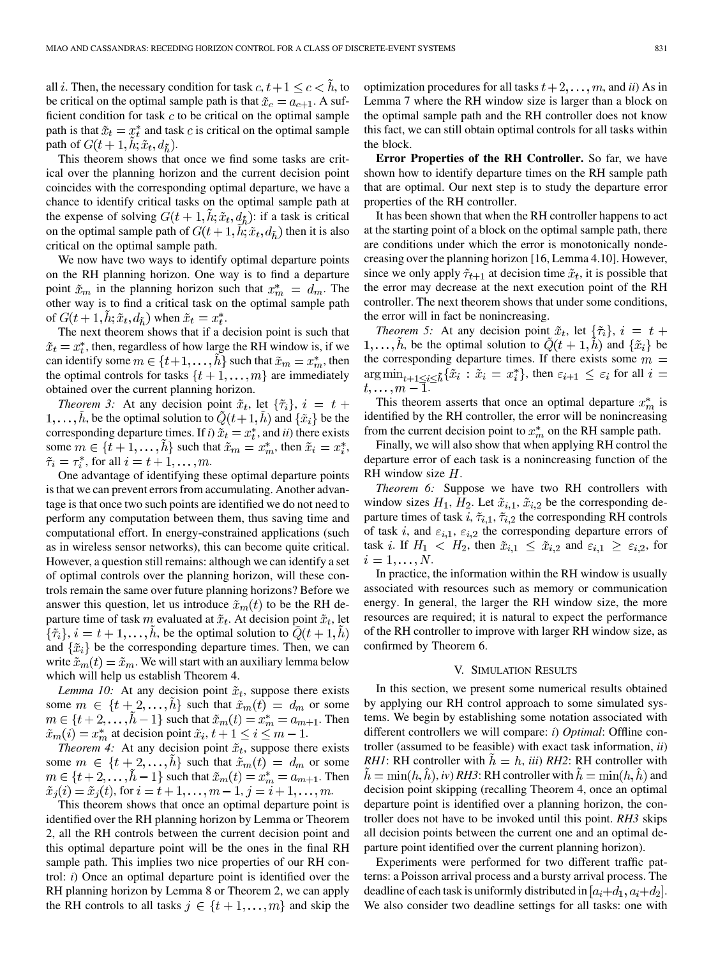<span id="page-6-0"></span>all *i*. Then, the necessary condition for task  $c, t+1 \leq c < h$ , to be critical on the optimal sample path is that  $\tilde{x}_c = a_{c+1}$ . A sufficient condition for task  $c$  to be critical on the optimal sample path is that  $\tilde{x}_t = x_t^*$  and task c is critical on the optimal sample path of  $G(t+1, \tilde{h}; \tilde{x}_t, d_{\tilde{h}})$ .

This theorem shows that once we find some tasks are critical over the planning horizon and the current decision point coincides with the corresponding optimal departure, we have a chance to identify critical tasks on the optimal sample path at the expense of solving  $G(t + 1, h; \tilde{x}_t, d_{\tilde{h}})$ : if a task is critical on the optimal sample path of  $G(t + 1, h; \tilde{x}_t, d_{\tilde{h}})$  then it is also critical on the optimal sample path.

We now have two ways to identify optimal departure points on the RH planning horizon. One way is to find a departure point  $\tilde{x}_m$  in the planning horizon such that  $x_m^* = d_m$ . The other way is to find a critical task on the optimal sample path of  $G(t+1, h; \tilde{x}_t, d_{\tilde{h}})$  when  $\tilde{x}_t = x_t^*$ .

The next theorem shows that if a decision point is such that  $\tilde{x}_t = x_t^*$ , then, regardless of how large the RH window is, if we can identify some  $m \in \{t+1, \ldots, \tilde{h}\}$  such that  $\tilde{x}_m = x_m^*$ , then the optimal controls for tasks  $\{t+1,\ldots,m\}$  are immediately obtained over the current planning horizon.

*Theorem 3:* At any decision point  $\tilde{x}_t$ , let  $\{\tilde{\tau}_i\}$ ,  $i = t +$  $1, \ldots, \tilde{h}$ , be the optimal solution to  $\tilde{Q}(t+1, \tilde{h})$  and  $\{\tilde{x}_i\}$  be the corresponding departure times. If *i*)  $\tilde{x}_t = x_t^*$ , and *ii*) there exists some  $m \in \{t+1, \ldots, h\}$  such that  $\tilde{x}_m = x_m^*$ , then  $\tilde{x}_i = x_i^*$ ,  $\tilde{\tau}_i = \tau_i^*$ , for all  $i = t + 1, \ldots, m$ .

One advantage of identifying these optimal departure points is that we can prevent errors from accumulating. Another advantage is that once two such points are identified we do not need to perform any computation between them, thus saving time and computational effort. In energy-constrained applications (such as in wireless sensor networks), this can become quite critical. However, a question still remains: although we can identify a set of optimal controls over the planning horizon, will these controls remain the same over future planning horizons? Before we answer this question, let us introduce  $\tilde{x}_m(t)$  to be the RH departure time of task m evaluated at  $\tilde{x}_t$ . At decision point  $\tilde{x}_t$ , let  $\{\tilde{\tau}_i\}, i = t+1, \ldots, h$ , be the optimal solution to  $Q(t+1,h)$ and  $\{\tilde{x}_i\}$  be the corresponding departure times. Then, we can write  $\tilde{x}_m(t) = \tilde{x}_m$ . We will start with an auxiliary lemma below which will help us establish Theorem 4.

*Lemma 10:* At any decision point  $\tilde{x}_t$ , suppose there exists some  $m \in \{t+2,\ldots,h\}$  such that  $\tilde{x}_m(t) = d_m$  or some  $m \in \{t+2,\ldots,\tilde{h}-1\}$  such that  $\tilde{x}_m(t) = x_m^* = a_{m+1}$ . Then  $\tilde{x}_m(i) = x_m^*$  at decision point  $\tilde{x}_i, t+1 \leq i \leq m-1$ .

*Theorem 4:* At any decision point  $\tilde{x}_t$ , suppose there exists some  $m \in \{t+2,\ldots,h\}$  such that  $\tilde{x}_m(t) = d_m$  or some  $m \in \{t+2,\ldots,\tilde{h}-1\}$  such that  $\tilde{x}_m(t) = x_m^* = a_{m+1}$ . Then  $\tilde{x}_j(i) = \tilde{x}_j(t)$ , for  $i = i + 1, ..., m - 1$ ,  $j = i + 1, ..., m$ .

This theorem shows that once an optimal departure point is identified over the RH planning horizon by Lemma or Theorem 2, all the RH controls between the current decision point and this optimal departure point will be the ones in the final RH sample path. This implies two nice properties of our RH control: *i*) Once an optimal departure point is identified over the RH planning horizon by Lemma 8 or Theorem 2, we can apply the RH controls to all tasks  $j \in \{t+1,\ldots,m\}$  and skip the

optimization procedures for all tasks  $t + 2, \ldots, m$ , and *ii*) As in Lemma 7 where the RH window size is larger than a block on the optimal sample path and the RH controller does not know this fact, we can still obtain optimal controls for all tasks within the block.

**Error Properties of the RH Controller.** So far, we have shown how to identify departure times on the RH sample path that are optimal. Our next step is to study the departure error properties of the RH controller.

It has been shown that when the RH controller happens to act at the starting point of a block on the optimal sample path, there are conditions under which the error is monotonically nondecreasing over the planning horizon [\[16, Lemma 4.10\].](#page-14-0) However, since we only apply  $\tilde{\tau}_{t+1}$  at decision time  $\tilde{x}_t$ , it is possible that the error may decrease at the next execution point of the RH controller. The next theorem shows that under some conditions, the error will in fact be nonincreasing.

*Theorem 5:* At any decision point  $\tilde{x}_t$ , let  $\{\tilde{\tau}_i\}$ ,  $i = t +$  $1, \ldots, \tilde{h}$ , be the optimal solution to  $\tilde{Q}(t + 1, \tilde{h})$  and  $\{\tilde{x}_i\}$  be the corresponding departure times. If there exists some  $m =$ , then  $\varepsilon_{i+1} \leq \varepsilon_i$  for all .

This theorem asserts that once an optimal departure  $x_m^*$  is identified by the RH controller, the error will be nonincreasing from the current decision point to  $x_m^*$  on the RH sample path.

Finally, we will also show that when applying RH control the departure error of each task is a nonincreasing function of the RH window size  $H$ .

*Theorem 6:* Suppose we have two RH controllers with window sizes  $H_1$ ,  $H_2$ . Let  $\tilde{x}_{i,1}$ ,  $\tilde{x}_{i,2}$  be the corresponding departure times of task  $i$ ,  $\tilde{\tau}_{i,1}$ ,  $\tilde{\tau}_{i,2}$  the corresponding RH controls of task i, and  $\varepsilon_{i,1}$ ,  $\varepsilon_{i,2}$  the corresponding departure errors of task *i*. If  $H_1 < H_2$ , then  $\tilde{x}_{i,1} \leq \tilde{x}_{i,2}$  and  $\varepsilon_{i,1} \geq \varepsilon_{i,2}$ , for  $i=1,\ldots,N.$ 

In practice, the information within the RH window is usually associated with resources such as memory or communication energy. In general, the larger the RH window size, the more resources are required; it is natural to expect the performance of the RH controller to improve with larger RH window size, as confirmed by Theorem 6.

## V. SIMULATION RESULTS

In this section, we present some numerical results obtained by applying our RH control approach to some simulated systems. We begin by establishing some notation associated with different controllers we will compare: *i*) *Optimal*: Offline controller (assumed to be feasible) with exact task information, *ii*) *RH1*: RH controller with  $h = h$ , *iii*) *RH2*: RH controller with  $h = \min(h, \tilde{h})$ , *iv*) *RH3*: RH controller with  $h = \min(h, \tilde{h})$  and decision point skipping (recalling Theorem 4, once an optimal departure point is identified over a planning horizon, the controller does not have to be invoked until this point. *RH3* skips all decision points between the current one and an optimal departure point identified over the current planning horizon).

Experiments were performed for two different traffic patterns: a Poisson arrival process and a bursty arrival process. The deadline of each task is uniformly distributed in  $[a_i+d_1, a_i+d_2]$ . We also consider two deadline settings for all tasks: one with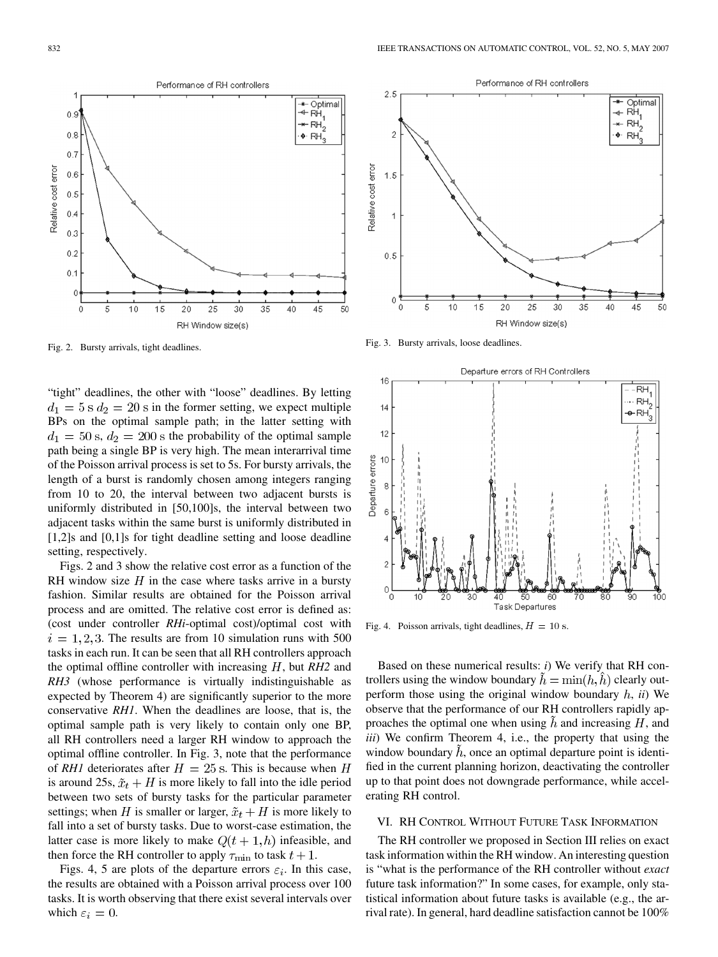"tight" deadlines, the other with "loose" deadlines. By letting  $d_1 = 5$  s  $d_2 = 20$  s in the former setting, we expect multiple BPs on the optimal sample path; in the latter setting with  $d_1 = 50$  s,  $d_2 = 200$  s the probability of the optimal sample path being a single BP is very high. The mean interarrival time of the Poisson arrival process is set to 5s. For bursty arrivals, the length of a burst is randomly chosen among integers ranging from 10 to 20, the interval between two adjacent bursts is uniformly distributed in [50,100]s, the interval between two adjacent tasks within the same burst is uniformly distributed in [1,2]s and [0,1]s for tight deadline setting and loose deadline setting, respectively.

Figs. 2 and 3 show the relative cost error as a function of the RH window size  $H$  in the case where tasks arrive in a bursty fashion. Similar results are obtained for the Poisson arrival process and are omitted. The relative cost error is defined as: (cost under controller *RHi*-optimal cost)/optimal cost with  $i = 1, 2, 3$ . The results are from 10 simulation runs with 500 tasks in each run. It can be seen that all RH controllers approach the optimal offline controller with increasing  $H$ , but  $RH2$  and *RH3* (whose performance is virtually indistinguishable as expected by Theorem 4) are significantly superior to the more conservative *RH1*. When the deadlines are loose, that is, the optimal sample path is very likely to contain only one BP, all RH controllers need a larger RH window to approach the optimal offline controller. In Fig. 3, note that the performance of *RH1* deteriorates after  $H = 25$  s. This is because when H is around 25s,  $\tilde{x}_t + H$  is more likely to fall into the idle period between two sets of bursty tasks for the particular parameter settings; when H is smaller or larger,  $\tilde{x}_t + H$  is more likely to fall into a set of bursty tasks. Due to worst-case estimation, the latter case is more likely to make  $Q(t + 1, h)$  infeasible, and then force the RH controller to apply  $\tau_{\min}$  to task  $t + 1$ .

Figs. 4, [5](#page-8-0) are plots of the departure errors  $\varepsilon_i$ . In this case, the results are obtained with a Poisson arrival process over 100 tasks. It is worth observing that there exist several intervals over which  $\varepsilon_i = 0$ .

Fig. 3. Bursty arrivals, loose deadlines.

5

 $10$ 

15

 $2.5$ 

 $\overline{c}$ 

 $1.5$ 

 $\overline{1}$ 

 $0.5$ 

0

0

Departure errors of RH Controllers 16 -RH … RH,  $14$  $\overline{P}$ RH $\overline{P}$  $12$ Departure errors  $10$  $\,$  8  $\,$  $\epsilon$ ź  $\Omega$ **Task Departures** 

 $20$ 

25

RH Window size(s)

30

35

Fig. 4. Poisson arrivals, tight deadlines,  $H = 10$  s.

Based on these numerical results: *i*) We verify that RH controllers using the window boundary  $\tilde{h} = \min(h, \tilde{h})$  clearly outperform those using the original window boundary  $h$ ,  $ii$ ) We observe that the performance of our RH controllers rapidly approaches the optimal one when using  $\hat{h}$  and increasing  $H$ , and *iii*) We confirm Theorem 4, i.e., the property that using the window boundary  $\hat{h}$ , once an optimal departure point is identified in the current planning horizon, deactivating the controller up to that point does not downgrade performance, while accelerating RH control.

## VI. RH CONTROL WITHOUT FUTURE TASK INFORMATION

The RH controller we proposed in [Section III](#page-2-0) relies on exact task information within the RH window. An interesting question is "what is the performance of the RH controller without *exact* future task information?" In some cases, for example, only statistical information about future tasks is available (e.g., the arrival rate). In general, hard deadline satisfaction cannot be 100%



<span id="page-7-0"></span>832 IEEE TRANSACTIONS ON AUTOMATIC CONTROL, VOL. 52, NO. 5, MAY 2007

Performance of RH controllers

Optimal

50

45

– คน้

 $\star$  RH<sub>2</sub>

 $\bullet$  RH

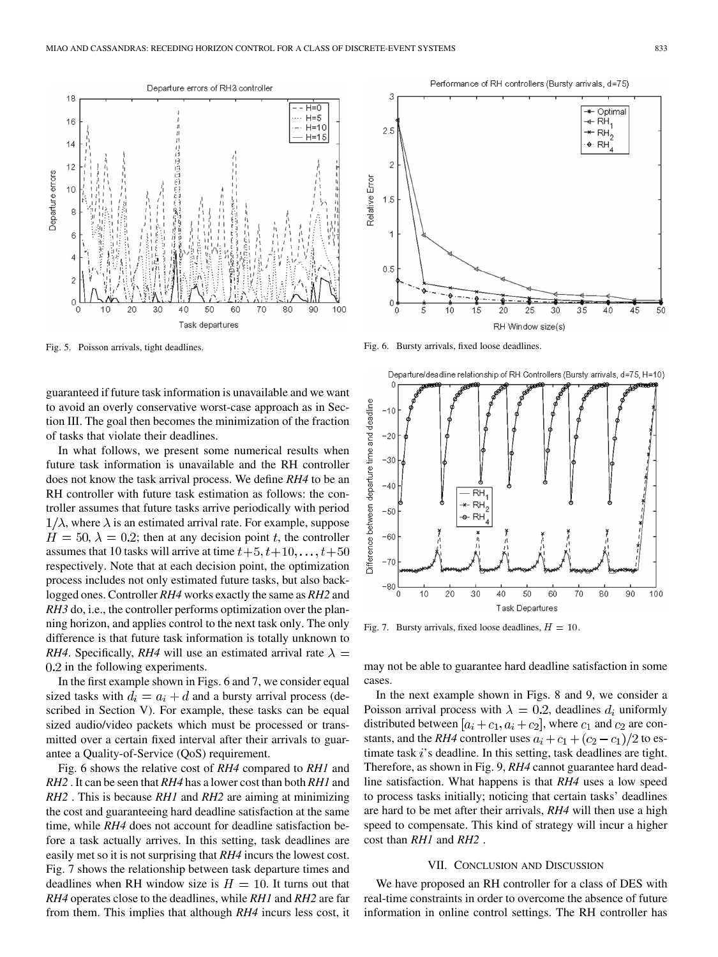<span id="page-8-0"></span>

Fig. 5. Poisson arrivals, tight deadlines.

guaranteed if future task information is unavailable and we want to avoid an overly conservative worst-case approach as in [Sec](#page-2-0)tion III. The goal then becomes the minimization of the fraction of tasks that violate their deadlines.

In what follows, we present some numerical results when future task information is unavailable and the RH controller does not know the task arrival process. We define *RH4* to be an RH controller with future task estimation as follows: the controller assumes that future tasks arrive periodically with period  $1/\lambda$ , where  $\lambda$  is an estimated arrival rate. For example, suppose  $H = 50$ ,  $\lambda = 0.2$ ; then at any decision point t, the controller assumes that 10 tasks will arrive at time  $t+5, t+10, \ldots, t+50$ respectively. Note that at each decision point, the optimization process includes not only estimated future tasks, but also backlogged ones. Controller *RH4* works exactly the same as *RH2* and *RH3* do, i.e., the controller performs optimization over the planning horizon, and applies control to the next task only. The only difference is that future task information is totally unknown to *RH4*. Specifically, *RH4* will use an estimated arrival rate  $\lambda =$  $0.2$  in the following experiments.

In the first example shown in Figs. 6 and 7, we consider equal sized tasks with  $d_i = a_i + d$  and a bursty arrival process (described in [Section V\)](#page-6-0). For example, these tasks can be equal sized audio/video packets which must be processed or transmitted over a certain fixed interval after their arrivals to guarantee a Quality-of-Service (QoS) requirement.

Fig. 6 shows the relative cost of *RH4* compared to *RH1* and *RH2* . It can be seen that *RH4* has a lower cost than both *RH1* and *RH2* . This is because *RH1* and *RH2* are aiming at minimizing the cost and guaranteeing hard deadline satisfaction at the same time, while *RH4* does not account for deadline satisfaction before a task actually arrives. In this setting, task deadlines are easily met so it is not surprising that *RH4* incurs the lowest cost. Fig. 7 shows the relationship between task departure times and deadlines when RH window size is  $H = 10$ . It turns out that *RH4* operates close to the deadlines, while *RH1* and *RH2* are far from them. This implies that although *RH4* incurs less cost, it



Performance of RH controllers (Bursty arrivals, d=75)

Fig. 6. Bursty arrivals, fixed loose deadlines.



Fig. 7. Bursty arrivals, fixed loose deadlines,  $H = 10$ .

may not be able to guarantee hard deadline satisfaction in some cases.

In the next example shown in [Figs. 8](#page-9-0) and [9,](#page-9-0) we consider a Poisson arrival process with  $\lambda = 0.2$ , deadlines  $d_i$  uniformly distributed between  $[a_i + c_1, a_i + c_2]$ , where  $c_1$  and  $c_2$  are constants, and the *RH4* controller uses  $a_i + c_1 + (c_2 - c_1)/2$  to estimate task  $i$ 's deadline. In this setting, task deadlines are tight. Therefore, as shown in [Fig. 9,](#page-9-0) *RH4* cannot guarantee hard deadline satisfaction. What happens is that *RH4* uses a low speed to process tasks initially; noticing that certain tasks' deadlines are hard to be met after their arrivals, *RH4* will then use a high speed to compensate. This kind of strategy will incur a higher cost than *RH1* and *RH2* .

## VII. CONCLUSION AND DISCUSSION

We have proposed an RH controller for a class of DES with real-time constraints in order to overcome the absence of future information in online control settings. The RH controller has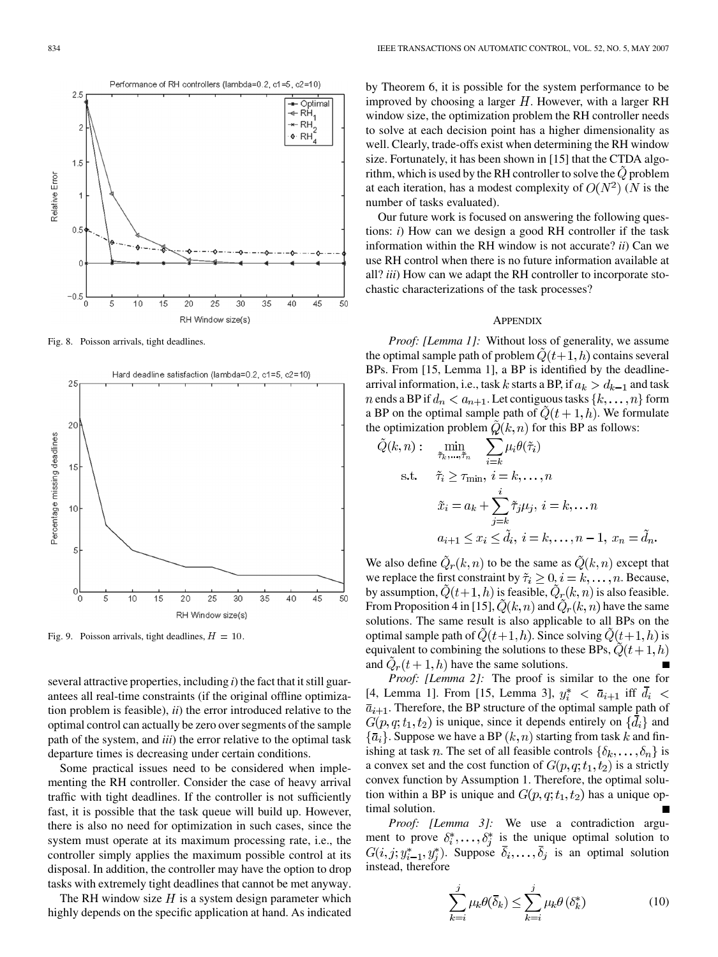<span id="page-9-0"></span>

Fig. 8. Poisson arrivals, tight deadlines.



Fig. 9. Poisson arrivals, tight deadlines,  $H = 10$ .

several attractive properties, including *i*) the fact that it still guarantees all real-time constraints (if the original offline optimization problem is feasible), *ii*) the error introduced relative to the optimal control can actually be zero over segments of the sample path of the system, and *iii*) the error relative to the optimal task departure times is decreasing under certain conditions.

Some practical issues need to be considered when implementing the RH controller. Consider the case of heavy arrival traffic with tight deadlines. If the controller is not sufficiently fast, it is possible that the task queue will build up. However, there is also no need for optimization in such cases, since the system must operate at its maximum processing rate, i.e., the controller simply applies the maximum possible control at its disposal. In addition, the controller may have the option to drop tasks with extremely tight deadlines that cannot be met anyway.

The RH window size  $H$  is a system design parameter which highly depends on the specific application at hand. As indicated by Theorem 6, it is possible for the system performance to be improved by choosing a larger  $H$ . However, with a larger RH window size, the optimization problem the RH controller needs to solve at each decision point has a higher dimensionality as well. Clearly, trade-offs exist when determining the RH window size. Fortunately, it has been shown in [\[15\]](#page-14-0) that the CTDA algorithm, which is used by the RH controller to solve the  $\tilde{Q}$  problem at each iteration, has a modest complexity of  $O(N^2)$  (N is the number of tasks evaluated).

Our future work is focused on answering the following questions: *i*) How can we design a good RH controller if the task information within the RH window is not accurate? *ii*) Can we use RH control when there is no future information available at all? *iii*) How can we adapt the RH controller to incorporate stochastic characterizations of the task processes?

#### **APPENDIX**

*Proof: [Lemma 1]:* Without loss of generality, we assume the optimal sample path of problem  $Q(t+1, h)$  contains several BPs. From [\[15, Lemma 1\],](#page-14-0) a BP is identified by the deadlinearrival information, i.e., task k starts a BP, if  $a_k > d_{k-1}$  and task *n* ends a BP if  $d_n < a_{n+1}$ . Let contiguous tasks  $\{k, \ldots, n\}$  form a BP on the optimal sample path of  $\ddot{Q}(t+1,h)$ . We formulate the optimization problem  $\hat{Q}(k, n)$  for this BP as follows:

$$
\tilde{Q}(k,n): \min_{\tilde{\tau}_k,\dots,\tilde{\tau}_n} \sum_{i=k} \mu_i \theta(\tilde{\tau}_i)
$$
\ns.t.  $\tilde{\tau}_i \ge \tau_{\min}, i = k, \dots, n$   
\n
$$
\tilde{x}_i = a_k + \sum_{j=k}^i \tilde{\tau}_j \mu_j, i = k, \dots n
$$
  
\n
$$
a_{i+1} \le x_i \le \tilde{d}_i, i = k, \dots, n-1, x_n = \tilde{d}_n.
$$

We also define  $\ddot{Q}_r(k,n)$  to be the same as  $\ddot{Q}(k,n)$  except that we replace the first constraint by  $\tilde{\tau}_i \geq 0, i = k, \ldots, n$ . Because, by assumption,  $\tilde{Q}(t+1,h)$  is feasible,  $\tilde{Q}_r(k,n)$  is also feasible. From Proposition 4 in [\[15\],](#page-14-0)  $\tilde{Q}(k, n)$  and  $\tilde{Q}_r(k, n)$  have the same solutions. The same result is also applicable to all BPs on the optimal sample path of  $Q(t+1, h)$ . Since solving  $Q(t+1, h)$  is equivalent to combining the solutions to these BPs,  $\dot{Q}(t+1,h)$ and  $\ddot{Q}_r(t+1,h)$  have the same solutions.

*Proof: [Lemma 2]:* The proof is similar to the one for [\[4, Lemma 1\].](#page-14-0) From [\[15, Lemma 3\]](#page-14-0),  $y_i^* \le \bar{a}_{i+1}$  iff  $\bar{d}_i$  <  $\bar{a}_{i+1}$ . Therefore, the BP structure of the optimal sample path of  $G(p, q; t_1, t_2)$  is unique, since it depends entirely on  $\{\bar{d}_i\}$  and  $\{\bar{a}_i\}$ . Suppose we have a BP  $(k, n)$  starting from task k and finishing at task *n*. The set of all feasible controls  $\{\delta_k, \ldots, \delta_n\}$  is a convex set and the cost function of  $G(p,q;t_1,t_2)$  is a strictly convex function by Assumption 1. Therefore, the optimal solution within a BP is unique and  $G(p, q; t_1, t_2)$  has a unique optimal solution.

*Proof: [Lemma 3]:* We use a contradiction argument to prove  $\delta_i^*, \ldots, \delta_i^*$  is the unique optimal solution to  $G(i, j; y_{i-1}^*, y_i^*)$ . Suppose  $\overline{\delta}_i, \ldots, \overline{\delta}_j$  is an optimal solution instead, therefore

$$
\sum_{k=i}^{j} \mu_k \theta(\overline{\delta}_k) \le \sum_{k=i}^{j} \mu_k \theta(\delta_k^*)
$$
 (10)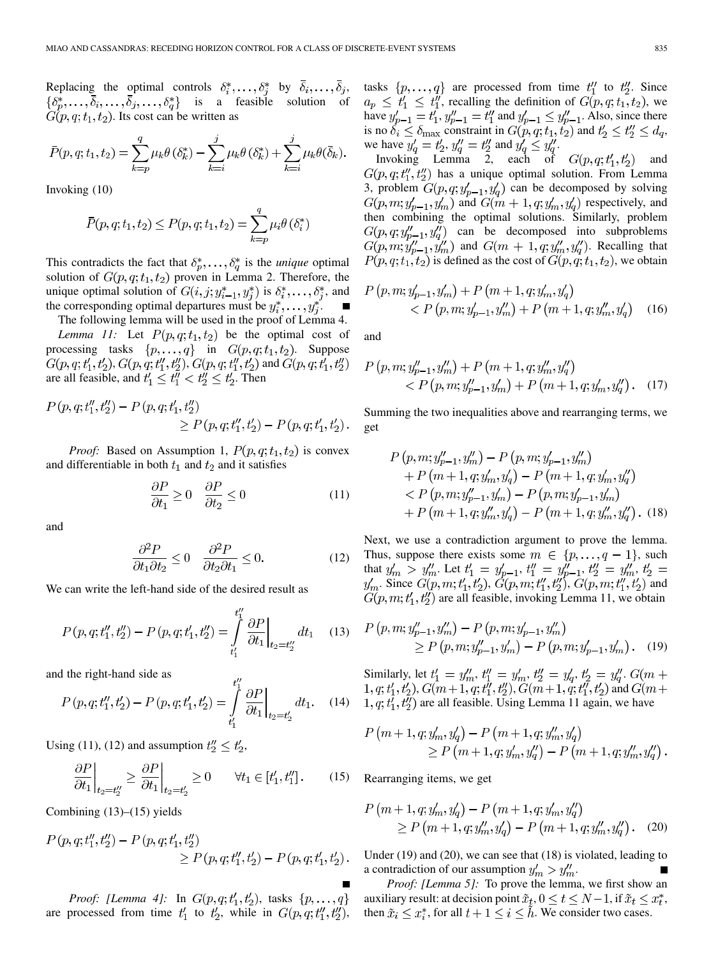Replacing the optimal controls  $\delta_i^*, \ldots, \delta_j^*$  by  $\overline{\delta}_i, \ldots, \overline{\delta}_j$ ,  $\{\delta_p^*,\ldots,\overline{\delta}_i,\ldots,\overline{\delta}_j,\ldots,\delta_q^*\}$  is a feasible solution of  $G(p, q; t_1, t_2)$ . Its cost can be written as

$$
\bar{P}(p, q; t_1, t_2) = \sum_{k=p}^{q} \mu_k \theta(\delta_k^*) - \sum_{k=i}^{j} \mu_k \theta(\delta_k^*) + \sum_{k=i}^{j} \mu_k \theta(\bar{\delta}_k).
$$

Invoking [\(10\)](#page-9-0)

$$
\bar{P}(p,q;t_1,t_2) \le P(p,q;t_1,t_2) = \sum_{k=p}^{q} \mu_i \theta(\delta_i^*)
$$

This contradicts the fact that  $\delta_p^*, \ldots, \delta_q^*$  is the *unique* optimal solution of  $G(p, q; t_1, t_2)$  proven in Lemma 2. Therefore, the unique optimal solution of  $G(i, j; y_{i-1}^*, y_i^*)$  is  $\delta_i^*, \ldots, \delta_i^*$ , and the corresponding optimal departures must be  $y_i^*, \ldots, y_j^*$ .  $\blacksquare$ The following lemma will be used in the proof of Lemma 4.

*Lemma 11:* Let  $P(p, q; t_1, t_2)$  be the optimal cost of processing tasks  $\{p, \ldots, q\}$  in  $G(p, q; t_1, t_2)$ . Suppose  $G(p, q; t'_1, t'_2), G(p, q; t''_1, t''_2), G(p, q; t''_1, t'_2)$  and  $G(p, q; t'_1, t''_2)$ are all feasible, and  $t'_1 \leq t''_1 < t''_2 \leq t'_2$ . Then

$$
P(p,q;t_1'',t_2'') - P(p,q;t_1',t_2'')\n\t\geq P(p,q;t_1'',t_2') - P(p,q;t_1',t_2').
$$

*Proof:* Based on Assumption 1,  $P(p, q; t_1, t_2)$  is convex and differentiable in both  $t_1$  and  $t_2$  and it satisfies

$$
\frac{\partial P}{\partial t_1} \ge 0 \quad \frac{\partial P}{\partial t_2} \le 0 \tag{11}
$$

and

$$
\frac{\partial^2 P}{\partial t_1 \partial t_2} \le 0 \quad \frac{\partial^2 P}{\partial t_2 \partial t_1} \le 0. \tag{12}
$$

 $\overline{t}$ 

We can write the left-hand side of the desired result as

$$
P(p,q;t_1'',t_2'') - P(p,q;t_1',t_2') = \int\limits_{t_1'}^{t_1''} \frac{\partial P}{\partial t_1} \bigg|_{t_2 = t_2''} dt_1 \quad (13)
$$

and the right-hand side as

$$
P(p,q; t_1'', t_2') - P(p,q; t_1', t_2') = \int_{t_1'}^{t_1} \frac{\partial P}{\partial t_1} \Big|_{t_2 = t_2'} dt_1. \quad (14)
$$

Using (11), (12) and assumption  $t''_2 \n\t\leq t'_2$ ,

$$
\left. \frac{\partial P}{\partial t_1} \right|_{t_2 = t_2''} \ge \left. \frac{\partial P}{\partial t_1} \right|_{t_2 = t_2'} \ge 0 \qquad \forall t_1 \in [t_1', t_1''] \,. \tag{15}
$$

Combining  $(13)$ – $(15)$  yields

$$
P(p,q; t_1'', t_2'') - P(p,q; t_1', t_2'') \ge P(p,q; t_1'', t_2') - P(p,q; t_1', t_2').
$$

*Proof: [Lemma 4]:* In  $G(p, q; t'_1, t'_2)$ , tasks  $\{p, ..., q\}$ are processed from time  $t_1'$  to  $t_2'$ , while in  $G(p, q; t_1'', t_2'')$ , tasks  $\{p, \ldots, q\}$  are processed from time  $t_1''$  to  $t_2''$ . Since , recalling the definition of  $G(p, q; t_1, t_2)$ , we have  $y'_{n-1} = t'_1, y''_{n-1} = t''_1$  and  $y'_{n-1} \le y''_{n-1}$ . Also, since there is no  $\delta_i \leq \delta_{\max}$  constraint in  $G(p,q;t_1,t_2)$  and  $t'_2 \leq t''_2 \leq d_q$ , we have  $y'_a = t'_2$ ,  $y''_a = t''_2$  and  $y'_a \le y''_a$ .

Invoking Lemma 2, each of  $G(p,q; t'_1, t'_2)$  and  $G(p,q; t''_1, t''_2)$  has a unique optimal solution. From Lemma 3, problem  $G(p, q; y'_{p-1}, y'_{q})$  can be decomposed by solving  $G(p, m; y'_{p-1}, y'_m)$  and  $G(m + 1, q; y'_m, y'_q)$  respectively, and then combining the optimal solutions. Similarly, problem  $G(p,q; y''_{p-1}, y''_q)$  can be decomposed into subproblems  $G(p, m; y''_{p-1}, y''_m)$  and  $G(m + 1, q; y''_m, y''_q)$ . Recalling that  $P(p, q; t_1, t_2)$  is defined as the cost of  $G(p, q; t_1, t_2)$ , we obtain

$$
P(p, m; y'_{p-1}, y'_m) + P(m+1, q; y'_m, y'_q) < P(p, m; y'_{p-1}, y''_m) + P(m+1, q; y''_m, y'_q)
$$
 (16)

and

$$
P(p, m; y''_{p-1}, y''_m) + P(m+1, q; y''_m, y''_q)
$$
  
< 
$$
< P(p, m; y''_{p-1}, y'_m) + P(m+1, q; y'_m, y''_q).
$$
 (17)

Summing the two inequalities above and rearranging terms, we get

$$
P(p, m; y''_{p-1}, y''_m) - P(p, m; y'_{p-1}, y''_m) + P(m+1, q; y'_m, y'_q) - P(m+1, q; y'_m, y''_q) < P(p, m; y''_{p-1}, y'_m) - P(p, m; y'_{p-1}, y'_m) + P(m+1, q; y''_m, y'_q) - P(m+1, q; y''_m, y''_q).
$$
 (18)

Next, we use a contradiction argument to prove the lemma. Thus, suppose there exists some  $m \in \{p, \ldots, q-1\}$ , such that  $y'_m > y''_m$ . Let  $t'_1 = y'_{n-1}, t''_1 = y''_{n-1}, t''_2 = y''_m$ , . Since  $G(p, m; t'_1, t'_2)$ ,  $G(p, m; t''_1, t''_2)$ ,  $G(p, m; t''_1, t'_2)$  and  $G(p, m; t'_1, t''_2)$  are all feasible, invoking Lemma 11, we obtain

$$
P(p, m; y''_{p-1}, y''_m) - P(p, m; y'_{p-1}, y''_m)
$$
  
\n
$$
\geq P(p, m; y''_{p-1}, y'_m) - P(p, m; y'_{p-1}, y'_m).
$$
 (19)

Similarly, let  $t'_1 = y''_m, t''_1 = y'_m, t''_2 = y'_a, t'_2 = y''_a$ . ,  $G(m+1, q; t''_1, t''_2), G(m+1, q; t''_1, t'_2)$  and  $1, q; t'_1, t''_2$  are all feasible. Using Lemma 11 again, we have

$$
P(m+1, q; y'_m, y'_q) - P(m+1, q; y''_m, y'_q)
$$
  
\n
$$
\geq P(m+1, q; y'_m, y''_q) - P(m+1, q; y''_m, y''_q).
$$

Rearranging items, we get

$$
P(m+1, q; y'_m, y'_q) - P(m+1, q; y'_m, y''_q)
$$
  
\n
$$
\geq P(m+1, q; y''_m, y'_q) - P(m+1, q; y''_m, y''_q).
$$
 (20)

Under (19) and (20), we can see that (18) is violated, leading to a contradiction of our assumption  $y'_m > y''_m$ .

*Proof: [Lemma 5]:* To prove the lemma, we first show an auxiliary result: at decision point  $\tilde{x}_t, 0 \le t \le N-1$ , if  $\tilde{x}_t \le x_t^*$ , then  $\tilde{x}_i \leq x_i^*$ , for all  $t + 1 \leq i \leq \tilde{h}$ . We consider two cases.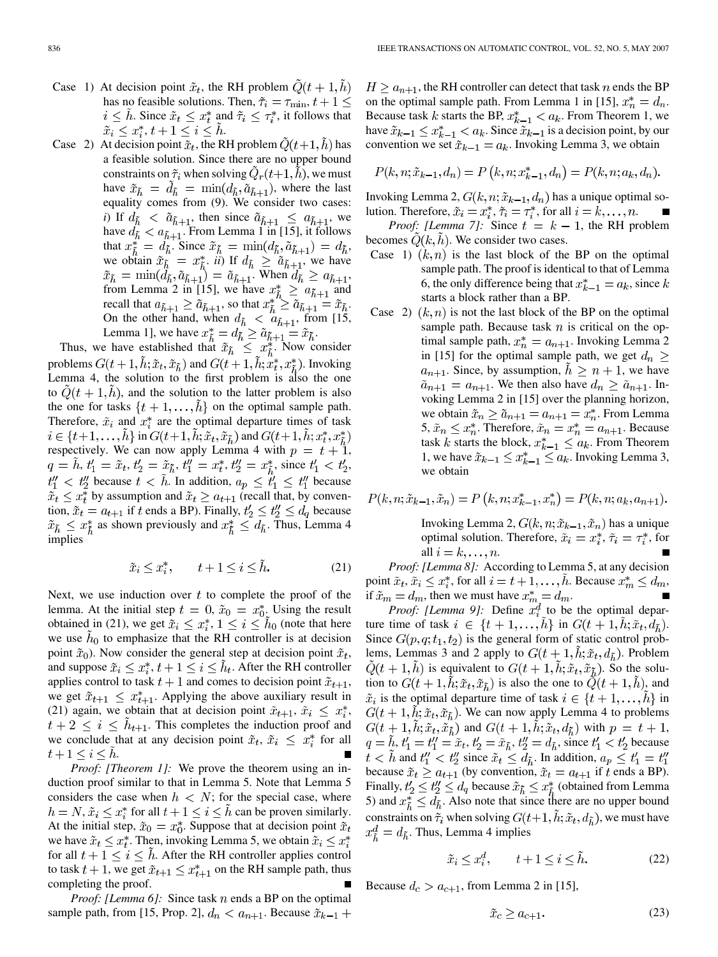- <span id="page-11-0"></span>Case 1) At decision point  $\tilde{x}_t$ , the RH problem  $\tilde{Q}(t+1,\tilde{h})$ has no feasible solutions. Then,  $\tilde{\tau}_i = \tau_{\min}, t+1 \leq$  $i \leq \tilde{h}$ . Since  $\tilde{x}_t \leq x_t^*$  and  $\tilde{\tau}_i \leq \tau_i^*$ , it follows that  $\tilde{x}_i \leq x_i^*, t+1 \leq i \leq h.$
- Case 2) At decision point  $\tilde{x}_t$ , the RH problem  $\tilde{Q}(t+1, \tilde{h})$  has a feasible solution. Since there are no upper bound constraints on  $\tilde{\tau}_i$  when solving  $Q_r(t+1,h)$ , we must have  $\tilde{x}_{\tilde{h}} = d_{\tilde{h}} = \min(d_{\tilde{h}}, \tilde{a}_{\tilde{h}+1})$ , where the last equality comes from [\(9\)](#page-4-0). We consider two cases: *i*) If  $d_{\tilde{h}} < \tilde{a}_{\tilde{h}+1}$ , then since  $\tilde{a}_{\tilde{h}+1} \leq a_{\tilde{h}+1}$ , we have  $d_{\tilde{h}} < a_{\tilde{h}+1}$ . From Lemma 1 in [\[15\],](#page-14-0) it follows that  $x^*_{\tilde{i}} = d_{\tilde{i}}$ . Since  $\tilde{x}_{\tilde{i}} = \min(d_{\tilde{i}}, \tilde{a}_{\tilde{i}+1}) = d_{\tilde{i}}$ , we obtain  $\tilde{x}_{\tilde{h}} = x_{\tilde{i}}^*$ , *ii*) If  $d_{\tilde{h}} \ge \tilde{a}_{\tilde{h}+1}$ , we have . When  $d_{\tilde{h}} \geq a_{\tilde{h}+1}$ , from Lemma 2 in [\[15\]](#page-14-0), we have  $x^*_{\tilde{i}} \ge a_{\tilde{i}_{i+1}}$  and recall that  $a_{\tilde{b}+1} \geq \tilde{a}_{\tilde{b}+1}$ , so that  $x_{\tilde{b}}^* \geq \tilde{a}_{\tilde{b}+1} = \tilde{x}_{\tilde{b}}$ . On the other hand, when  $d_{\tilde{b}} < a_{\tilde{b}+1}$ , from [\[15](#page-14-0), Lemma [1\],](#page-14-0) we have  $x^*_{\tilde{i}} = d_{\tilde{h}} \ge \tilde{a}_{\tilde{h}+1} = \tilde{x}_{\tilde{h}}$ .

Thus, we have established that  $\tilde{x}_{\tilde{h}} \leq x^*_{\tilde{h}}$ . Now consider problems  $G(t+1, h; \tilde{x}_t, \tilde{x}_{\tilde{h}})$  and  $G(t+1, h; x_t^*, x_{\tilde{h}}^*)$ . Invoking Lemma 4, the solution to the first problem is also the one to  $Q(t + 1, h)$ , and the solution to the latter problem is also the one for tasks  $\{t+1,\ldots,h\}$  on the optimal sample path. Therefore,  $\tilde{x}_i$  and  $x_i^*$  are the optimal departure times of task  $i \in \{t+1,\ldots,h\}$  in  $G(t+1,h;\tilde{x}_t,\tilde{x}_{\tilde{h}})$  and  $G(t+1,h;x_t^*,x_{\tilde{h}}^*)$ respectively. We can now apply Lemma 4 with  $p = t + 1$ ,  $q = \tilde{h}, t'_1 = \tilde{x}_t, t'_2 = \tilde{x}_{\tilde{h}}, t''_1 = x_t^*, t''_2 = x_{\tilde{h}}^*,$  since  $t'_1 < t'_2$ ,  $t''_1 < t''_2$  because  $t < h$ . In addition,  $a_p \leq t'_1 \leq t''_1$  because  $\tilde{x}_t \leq x_t^*$  by assumption and  $\tilde{x}_t \geq a_{t+1}$  (recall that, by convention,  $\tilde{x}_t = a_{t+1}$  if t ends a BP). Finally,  $t'_2 \leq t''_2 \leq d_q$  because  $\tilde{x}_{\tilde{h}} \leq x_{\tilde{h}}^*$  as shown previously and  $x_{\tilde{h}}^* \leq d_{\tilde{h}}$ . Thus, Lemma 4 implies

$$
\tilde{x}_i \le x_i^*, \qquad t + 1 \le i \le \tilde{h}.\tag{21}
$$

Next, we use induction over  $t$  to complete the proof of the lemma. At the initial step  $t = 0$ ,  $\tilde{x}_0 = x_0^*$ . Using the result obtained in (21), we get  $\tilde{x}_i \leq x_i^*$ ,  $1 \leq i \leq \tilde{h}_0$  (note that here we use  $h_0$  to emphasize that the RH controller is at decision point  $\tilde{x}_0$ ). Now consider the general step at decision point  $\tilde{x}_t$ , and suppose  $\tilde{x}_i \leq x_i^*, t+1 \leq i \leq h_t$ . After the RH controller applies control to task  $t + 1$  and comes to decision point  $\tilde{x}_{t+1}$ , we get  $\tilde{x}_{t+1} \leq x_{t+1}^*$ . Applying the above auxiliary result in (21) again, we obtain that at decision point  $\tilde{x}_{t+1}, \tilde{x}_i \leq x_i^*$ ,  $t + 2 \leq i \leq \hat{h}_{t+1}$ . This completes the induction proof and we conclude that at any decision point  $\tilde{x}_t$ ,  $\tilde{x}_i \leq x_i^*$  for all  $t+1\leq i\leq h$ .

*Proof: [Theorem 1]:* We prove the theorem using an induction proof similar to that in Lemma 5. Note that Lemma 5 considers the case when  $h \lt N$ ; for the special case, where  $h = N$ ,  $\tilde{x}_i \leq x_i^*$  for all  $t + 1 \leq i \leq \tilde{h}$  can be proven similarly. At the initial step,  $\tilde{x}_0 = x_0^*$ . Suppose that at decision point  $\tilde{x}_t$ we have  $\tilde{x}_t \leq x_t^*$ . Then, invoking Lemma 5, we obtain  $\tilde{x}_i \leq x_t^*$ for all  $t + 1 \leq i \leq h$ . After the RH controller applies control to task  $t + 1$ , we get  $\tilde{x}_{t+1} \leq x_{t+1}^*$  on the RH sample path, thus completing the proof.

*Proof: [Lemma 6]:* Since task *n* ends a BP on the optimal sample path, from [\[15, Prop. 2\]](#page-14-0),  $d_n < a_{n+1}$ . Because  $\tilde{x}_{k-1}$  +

 $H \ge a_{n+1}$ , the RH controller can detect that task n ends the BP on the optimal sample path. From Lemma 1 in [\[15\]](#page-14-0),  $x_n^* = d_n$ . Because task k starts the BP,  $x_{k-1}^* < a_k$ . From Theorem 1, we have  $\tilde{x}_{k-1} \leq x_{k-1}^* < a_k$ . Since  $\tilde{x}_{k-1}$  is a decision point, by our convention we set  $\tilde{x}_{k-1} = a_k$ . Invoking Lemma 3, we obtain

$$
P(k, n; \tilde{x}_{k-1}, d_n) = P(k, n; x_{k-1}^*, d_n) = P(k, n; a_k, d_n).
$$

Invoking Lemma 2,  $G(k, n; \tilde{x}_{k-1}, d_n)$  has a unique optimal solution. Therefore,  $\tilde{x}_i = x_i^*, \tilde{\tau}_i = \tau_i^*$ , for all  $i = k, \ldots, n$ .

*Proof: [Lemma 7]:* Since  $t = k - 1$ , the RH problem becomes  $\dot{Q}(k, \dot{h})$ . We consider two cases.

- Case 1)  $(k, n)$  is the last block of the BP on the optimal sample path. The proof is identical to that of Lemma 6, the only difference being that  $x_{k-1}^* = a_k$ , since k starts a block rather than a BP.
- [Case 2\)](#page-14-0)  $(k, n)$  is not the last block of the BP on the optimal sample path. Because task  $n$  is critical on the optimal sample path,  $x_n^* = a_{n+1}$ . Invoking Lemma 2 in [\[15\]](#page-14-0) for the optimal sample path, we get  $d_n \geq$  $a_{n+1}$ . Since, by assumption,  $h \geq n+1$ , we have  $\tilde{a}_{n+1} = a_{n+1}$ . We then also have  $d_n \geq \tilde{a}_{n+1}$ . Invoking Lemma 2 in [\[15\]](#page-14-0) over the planning horizon, we obtain  $\tilde{x}_n \geq \tilde{a}_{n+1} = a_{n+1} = x_n^*$ . From Lemma 5,  $\tilde{x}_n \leq x_n^*$ . Therefore,  $\tilde{x}_n = x_n^* = a_{n+1}$ . Because task k starts the block,  $x_{k-1}^* \le a_k$ . From Theorem 1, we have  $\tilde{x}_{k-1} \leq x_{k-1}^* \leq a_k$ . Invoking Lemma 3, we obtain

$$
P(k, n; \tilde{x}_{k-1}, \tilde{x}_n) = P(k, n; x_{k-1}^*, x_n^*) = P(k, n; a_k, a_{n+1}).
$$

Invoking Lemma 2,  $G(k, n; \tilde{x}_{k-1}, \tilde{x}_n)$  has a unique optimal solution. Therefore,  $\tilde{x}_i = x_i^*, \tilde{\tau}_i = \tau_i^*$ , for all  $i = k, \ldots, n$ .

*Proof: [Lemma 8]:* According to Lemma 5, at any decision point  $\tilde{x}_t, \tilde{x}_i \leq x_i^*$ , for all  $i = t + 1, \ldots, h$ . Because  $x_m^* \leq d_m$ , if  $\tilde{x}_m = d_m$ , then we must have  $x_m^* = d_m$ .

*Proof: [Lemma 9]:* Define  $x_i^d$  to be the optimal departure time of task  $i \in \{t+1,\ldots,h\}$  in  $G(t+1,h;\tilde{x}_t,d_{\tilde{h}})$ . Since  $G(p, q; t_1, t_2)$  is the general form of static control problems, Lemmas 3 and 2 apply to  $G(t + 1, h; \tilde{x}_t, d_{\tilde{h}})$ . Problem  $\tilde{Q}(t+1,\tilde{h})$  is equivalent to  $G(t+1,h;\tilde{x}_t,\tilde{x}_{\tilde{h}})$ . So the solution to  $G(t + 1, h; \tilde{x}_t, \tilde{x}_h)$  is also the one to  $\tilde{Q}(t + 1, h)$ , and  $\tilde{x}_i$  is the optimal departure time of task  $i \in \{t+1,\ldots,h\}$  in  $G(t+1, h; \tilde{x}_t, \tilde{x}_\tilde{\mu})$ . We can now apply Lemma 4 to problems  $G(t+1,h;\tilde{x}_t,\tilde{x}_{\tilde{h}})$  and  $G(t+1,h;\tilde{x}_t,d_{\tilde{h}})$  with  $p = t+1$ ,  $q = h, t'_1 = t''_1 = \tilde{x}_t, t'_2 = \tilde{x}_{\tilde{h}}, t''_2 = d_{\tilde{h}}$ , since  $t'_1 < t'_2$  because  $t < \tilde{h}$  and  $t''_1 < t''_2$  since  $\tilde{x}_t \leq d_{\tilde{h}}$ . In addition,  $a_p \leq t'_1 = t''_1$ because  $\tilde{x}_t \ge a_{t+1}$  (by convention,  $\tilde{x}_t = a_{t+1}$  if t ends a BP). Finally,  $t'_2 \leq t''_2 \leq d_q$  because  $\tilde{x}_{\tilde{h}} \leq x_{\tilde{h}}^*$  (obtained from Lemma 5) and  $x^*_{\tilde{b}} \leq d_{\tilde{b}}$ . Also note that since there are no upper bound constraints on  $\tilde{\tau}_i$  when solving  $G(t+1, \tilde{h}; \tilde{x}_t, d_{\tilde{h}})$ , we must have  $x_{\tilde{k}}^d = d_{\tilde{k}}$ . Thus, Lemma 4 implies

$$
\tilde{x}_i \le x_i^d, \qquad t + 1 \le i \le \tilde{h}.\tag{22}
$$

Because  $d_c > a_{c+1}$ , from Lemma 2 in [\[15\]](#page-14-0),

$$
\tilde{x}_c \ge a_{c+1}.\tag{23}
$$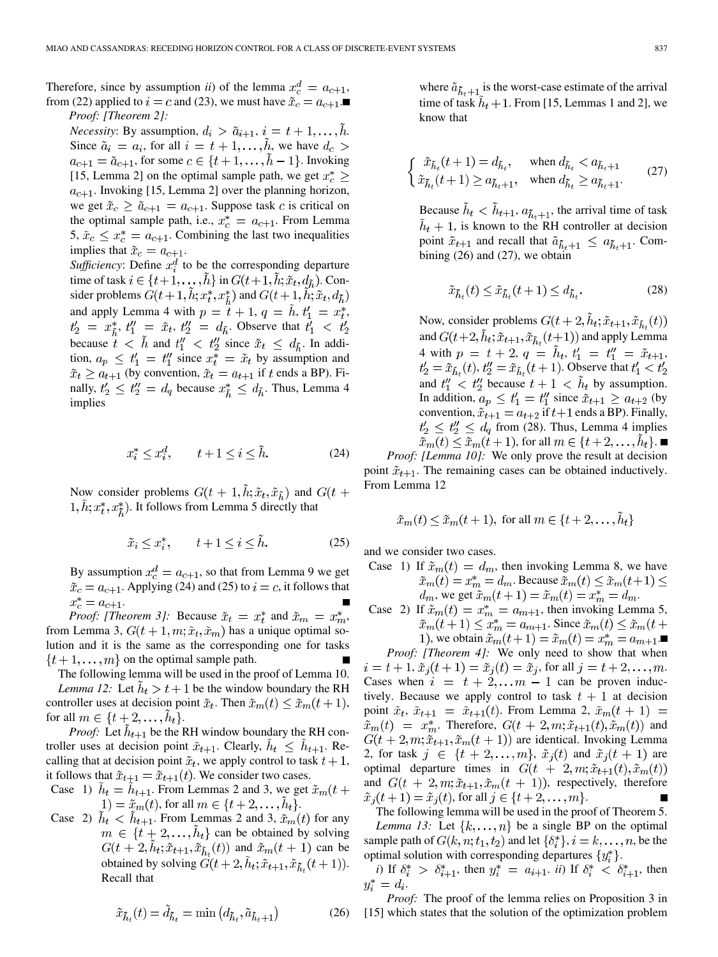Therefore, since by assumption *ii*) of the lemma  $x_c^d = a_{c+1}$ , from [\(22\)](#page-11-0) applied to  $i = c$  and [\(23\)](#page-11-0), we must have  $\tilde{x}_c = a_{c+1}$ . *Proof: [Theorem 2]:*

*Necessity*: By assumption,  $d_i > \tilde{a}_{i+1}, i = t+1, \ldots, h$ . Since  $\tilde{a}_i = a_i$ , for all  $i = t + 1, \ldots, \tilde{h}$ , we have  $d_c >$  $a_{c+1} = \tilde{a}_{c+1}$ , for some  $c \in \{t+1,\ldots,h-1\}$ . Invoking [\[15, Lemma 2\]](#page-14-0) on the optimal sample path, we get  $x_c^* \geq$  $a_{c+1}$ . Invoking [\[15, Lemma 2\]](#page-14-0) over the planning horizon, we get  $\tilde{x}_c \ge \tilde{a}_{c+1} = a_{c+1}$ . Suppose task c is critical on the optimal sample path, i.e.,  $x_c^* = a_{c+1}$ . From Lemma 5,  $\tilde{x}_c \leq x_c^* = a_{c+1}$ . Combining the last two inequalities implies that  $\tilde{x}_c = a_{c+1}$ .

*Sufficiency*: Define  $x_i^d$  to be the corresponding departure time of task  $i \in \{t+1,\ldots,\tilde{h}\}$  in  $G(t+1,\tilde{h};\tilde{x}_t,d_{\tilde{h}})$ . Consider problems  $G(t+1,\tilde{h};x_t^*,x_{\tilde{h}}^*)$  and  $G(t+1,\tilde{h};\tilde{x}_t,d_{\tilde{h}})$ and apply Lemma 4 with  $p = \tilde{t} + 1$ ,  $q = \tilde{h}$ ,  $t'_1 = x_t^*$ ,  $t'_2 = x^*_{\tilde{h}}, t''_1 = \tilde{x}_t, t''_2 = d_{\tilde{h}}$ . Observe that  $t'_1 < t'_2$ because  $t \leq \tilde{h}$  and  $t''_1 \leq t''_2$  since  $\tilde{x}_t \leq d_{\tilde{h}}$ . In addition,  $a_p \le t_1' = t_1''$  since  $x_t^* = \tilde{x}_t$  by assumption and  $\tilde{x}_t \ge a_{t+1}$  (by convention,  $\tilde{x}_t = a_{t+1}$  if t ends a BP). Finally,  $t'_2 \leq t''_2 = d_q$  because  $x^*_{\tilde{h}} \leq d_{\tilde{h}}$ . Thus, Lemma 4 implies

$$
x_i^* \le x_i^d, \qquad t + 1 \le i \le \tilde{h}.\tag{24}
$$

Now consider problems  $G(t + 1, \tilde{h}; \tilde{x}_t, \tilde{x}_{\tilde{h}})$  and  $G(t +$  $1, h; x_t^*, x_{\tilde{t}}^*$ ). It follows from Lemma 5 directly that

$$
\tilde{x}_i \le x_i^*, \qquad t + 1 \le i \le \tilde{h}.\tag{25}
$$

By assumption  $x_c^d = a_{c+1}$ , so that from Lemma 9 we get  $\tilde{x}_c = a_{c+1}$ . Applying (24) and (25) to  $i = c$ , it follows that  $x_c^* = a_{c+1}.$ 

*Proof: [Theorem 3]:* Because  $\tilde{x}_t = x_t^*$  and  $\tilde{x}_m = x_m^*$ , from Lemma 3,  $G(t + 1, m; \tilde{x}_t, \tilde{x}_m)$  has a unique optimal solution and it is the same as the corresponding one for tasks  $\{t+1,\ldots,m\}$  on the optimal sample path.

The following lemma will be used in the proof of Lemma 10. *Lemma 12:* Let  $h_t > t + 1$  be the window boundary the RH controller uses at decision point  $\tilde{x}_t$ . Then  $\tilde{x}_m(t) \leq \tilde{x}_m(t+1)$ , for all  $m \in \{t+2,\ldots,h_t\}.$ 

*Proof:* Let  $h_{t+1}$  be the RH window boundary the RH controller uses at decision point  $\tilde{x}_{t+1}$ . Clearly,  $h_t \leq h_{t+1}$ . Recalling that at decision point  $\tilde{x}_t$ , we apply control to task  $t + 1$ , it follows that  $\tilde{x}_{t+1} = \tilde{x}_{t+1}(t)$ . We consider two cases.

Case 1)  $h_t = h_{t+1}$ . From Lemmas 2 and 3, we get  $\tilde{x}_m(t)$ 1) =  $\tilde{x}_m(t)$ , for all  $m \in \{t+2,\ldots,h_t\}.$ 

Case 2)  $\hat{h}_t < \hat{h}_{t+1}$ . From Lemmas 2 and 3,  $\tilde{x}_m(t)$  for any  $m \in \{t+2,\ldots,h_t\}$  can be obtained by solving  $G(t+2, \tilde{h}_t; \tilde{x}_{t+1}, \tilde{x}_{\tilde{h}_t}(t))$  and  $\tilde{x}_m(t+1)$  can be obtained by solving  $\tilde{G}(t+2, \tilde{h}_t; \tilde{x}_{t+1}, \tilde{x}_{\tilde{h}_t}(t+1)).$ Recall that

$$
\tilde{x}_{\tilde{h}_t}(t) = \tilde{d}_{\tilde{h}_t} = \min\left(d_{\tilde{h}_t}, \tilde{a}_{\tilde{h}_t+1}\right) \tag{26}
$$

where  $\tilde{a}_{\tilde{h}_t+1}$  is the worst-case estimate of the arrival time of task  $h_t + 1$ . From [\[15, Lemmas 1 and 2\],](#page-14-0) we know that

$$
\begin{cases} \tilde{x}_{\tilde{h}_t}(t+1) = d_{\tilde{h}_t}, & \text{when } d_{\tilde{h}_t} < a_{\tilde{h}_t+1} \\ \tilde{x}_{\tilde{h}_t}(t+1) \ge a_{\tilde{h}_t+1}, & \text{when } d_{\tilde{h}_t} \ge a_{\tilde{h}_t+1}. \end{cases}
$$
 (27)

Because  $\tilde{h}_t < \tilde{h}_{t+1}$ ,  $a_{\tilde{h}_t+1}$ , the arrival time of task  $h_t + 1$ , is known to the RH controller at decision point  $\tilde{x}_{t+1}$  and recall that  $\tilde{a}_{\tilde{h}_t+1} \leq a_{\tilde{h}_t+1}$ . Combining (26) and (27), we obtain

$$
\tilde{x}_{\tilde{h}_t}(t) \le \tilde{x}_{\tilde{h}_t}(t+1) \le d_{\tilde{h}_t}.\tag{28}
$$

Now, consider problems  $G(t+2, \tilde{h}_t; \tilde{x}_{t+1}, \tilde{x}_{\tilde{h}_t}(t))$ and  $G(t+2, \tilde{h}_t; \tilde{x}_{t+1}, \tilde{x}_{\tilde{h}_t}(t+1))$  and apply Lemma 4 with  $p = t + 2$ ,  $q = \tilde{h}_t$ ,  $t'_1 = t''_1 = \tilde{x}_{t+1}$ ,  $t'_2 = \tilde{x}_{\tilde{h}_1}(t), t''_2 = \tilde{x}_{\tilde{h}_2}(t+1)$ . Observe that  $t'_1 < t'_2$ and  $t''_1 < t''_2$  because  $t + 1 < h_t$  by assumption. In addition,  $a_p \le t_1' = t_1''$  since  $\tilde{x}_{t+1} \ge a_{t+2}$  (by convention,  $\tilde{x}_{t+1} = a_{t+2}$  if  $t+1$  ends a BP). Finally,  $t'_2 \leq t''_2 \leq d_q$  from (28). Thus, Lemma 4 implies  $\tilde{x}_m(t) \leq \tilde{x}_m(t+1)$ , for all  $m \in \{t+2,\ldots,\tilde{h}_t\}$ .

*Proof: [Lemma 10]:* We only prove the result at decision point  $\tilde{x}_{t+1}$ . The remaining cases can be obtained inductively. From Lemma 12

$$
\tilde{x}_m(t) \leq \tilde{x}_m(t+1)
$$
, for all  $m \in \{t+2,...,h_t\}$ 

and we consider two cases.

Case 1) If  $\tilde{x}_m(t) = d_m$ , then invoking Lemma 8, we have  $\tilde{x}_m(t) = x_m^* = d_m$ . Because  $\tilde{x}_m(t) \leq \tilde{x}_m(t+1) \leq$  $d_m$ , we get  $\tilde{x}_m(t+1) = \tilde{x}_m(t) = x_m^* = d_m$ .

Case 2) If  $\tilde{x}_m(t) = x_m^* = a_{m+1}$ , then invoking Lemma 5,  $\tilde{x}_m(t+1) \leq x_m^* = a_{m+1}$ . Since  $\tilde{x}_m(t) \leq \tilde{x}_m(t+1)$ 1), we obtain  $\tilde{x}_m(t+1) = \tilde{x}_m(t) = x_m^* = a_{m+1}$ .

*Proof: [Theorem 4]:* We only need to show that when  $i = t + 1$ ,  $\tilde{x}_i(t + 1) = \tilde{x}_i(t) = \tilde{x}_i$ , for all  $j = t + 2, ..., m$ . Cases when  $i = t + 2,... m - 1$  can be proven inductively. Because we apply control to task  $t + 1$  at decision point  $\tilde{x}_t$ ,  $\tilde{x}_{t+1} = \tilde{x}_{t+1}(t)$ . From Lemma 2,  $\tilde{x}_m(t+1) =$  $\tilde{x}_m(t) = x_m^*$ . Therefore,  $G(t + 2, m; \tilde{x}_{t+1}(t), \tilde{x}_m(t))$  and  $G(t+2,m;\tilde{x}_{t+1},\tilde{x}_m(t+1))$  are identical. Invoking Lemma 2, for task  $j \in \{t+2,\ldots,m\}$ ,  $\tilde{x}_j(t)$  and  $\tilde{x}_j(t+1)$  are optimal departure times in  $G(t + 2, m; \tilde{x}_{t+1}(t), \tilde{x}_m(t))$ and  $G(t + 2, m; \tilde{x}_{t+1}, \tilde{x}_m(t + 1))$ , respectively, therefore  $\tilde{x}_i(t+1) = \tilde{x}_i(t)$ , for all  $j \in \{t+2,...,m\}$ .

The following lemma will be used in the proof of Theorem 5. *Lemma 13:* Let  $\{k, \ldots, n\}$  be a single BP on the optimal sample path of  $G(k, n; t_1, t_2)$  and let  $\{\delta_i^*\}, i = k, \ldots, n$ , be the optimal solution with corresponding departures  $\{y_i^*\}.$ 

*i*) If  $\delta_i^* > \delta_{i+1}^*$ , then  $y_i^* = a_{i+1}$ . *ii*) If  $\delta_i^* < \delta_{i+1}^*$ , then  $y_i^* = d_i.$ 

*Proof:* The proof of the lemma relies on Proposition 3 in [\[15\]](#page-14-0) which states that the solution of the optimization problem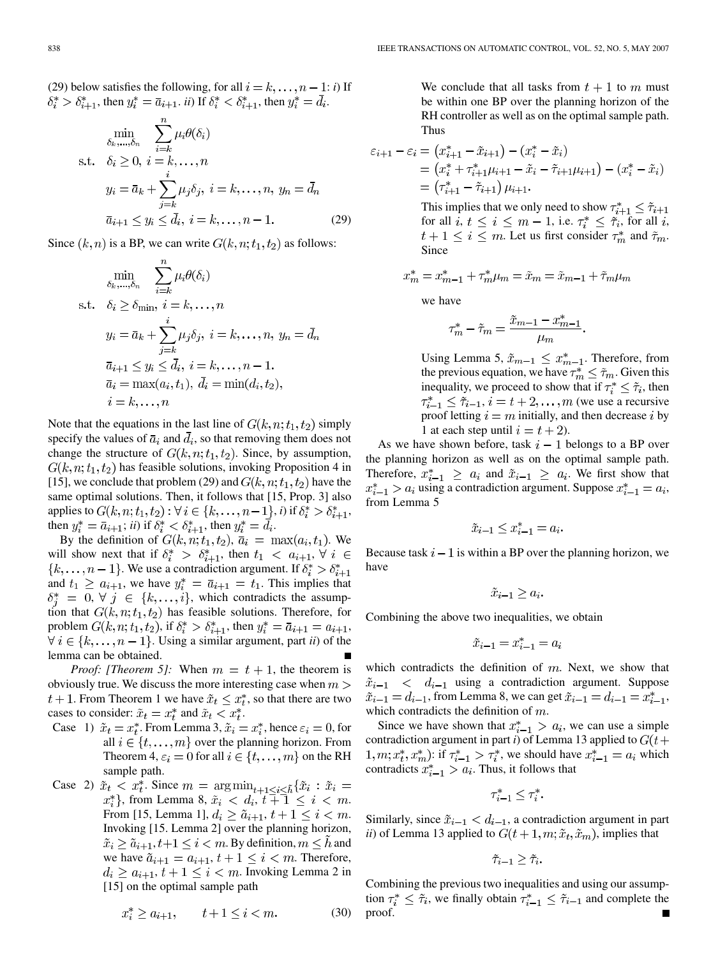(29) below satisfies the following, for all  $i = k, \ldots, n - 1$ : *i*) If  $\delta_i^* > \delta_{i+1}^*$ , then  $y_i^* = \overline{a}_{i+1}$ . *ii*) If  $\delta_i^* < \delta_{i+1}^*$ , then  $y_i^* = \overline{d}_i$ .

$$
\min_{\delta_k, \dots, \delta_n} \sum_{i=k}^n \mu_i \theta(\delta_i)
$$
\ns.t.  $\delta_i \ge 0, i = k, \dots, n$   
\n
$$
y_i = \bar{a}_k + \sum_{j=k}^i \mu_j \delta_j, i = k, \dots, n, y_n = \bar{d}_n
$$
  
\n
$$
\bar{a}_{i+1} \le y_i \le \bar{d}_i, i = k, \dots, n-1.
$$
\n(29)

Since  $(k, n)$  is a BP, we can write  $G(k, n; t_1, t_2)$  as follows:

$$
\min_{\delta_k, \dots, \delta_n} \sum_{i=k}^n \mu_i \theta(\delta_i)
$$
\ns.t.  $\delta_i \ge \delta_{\min}, i = k, \dots, n$   
\n
$$
y_i = \bar{a}_k + \sum_{j=k}^i \mu_j \delta_j, i = k, \dots, n, y_n = \bar{d}_n
$$
  
\n
$$
\bar{a}_{i+1} \le y_i \le \bar{d}_i, i = k, \dots, n-1.
$$
  
\n
$$
\bar{a}_i = \max(a_i, t_1), \bar{d}_i = \min(d_i, t_2),
$$
  
\n
$$
i = k, \dots, n
$$

Note that the equations in the last line of  $G(k, n; t_1, t_2)$  simply specify the values of  $\bar{a}_i$  and  $\bar{d}_i$ , so that removing them does not change the structure of  $G(k, n; t_1, t_2)$ . Since, by assumption,  $G(k, n; t_1, t_2)$  has feasible solutions, invoking Proposition 4 in [\[15\]](#page-14-0), we conclude that problem (29) and  $G(k, n; t_1, t_2)$  have the same optimal solutions. Then, it follows that [\[15, Prop. 3\]](#page-14-0) also applies to  $G(k, n; t_1, t_2): \forall i \in \{k, \ldots, n-1\}, i$  if  $\delta_i^* > \delta_{i+1}^*$ , then  $y_i^* = \bar{a}_{i+1}$ ; *ii*) if  $\delta_i^* < \delta_{i+1}^*$ , then  $y_i^* = \bar{d}_i$ .

By the definition of  $G(k, n; t_1, t_2)$ ,  $\bar{a}_i = \max(a_i, t_1)$ . We will show next that if  $\delta_i^* > \delta_{i+1}^*$ , then  $t_1 < a_{i+1}, \forall i \in$  ${k, \ldots, n-1}$ . We use a contradiction argument. If  $\delta_i^* > \delta_{i+1}^*$ and  $t_1 \ge a_{i+1}$ , we have  $y_i^* = \overline{a}_{i+1} = t_1$ . This implies that  $\delta_i^* = 0, \forall j \in \{k, \ldots, i\},$  which contradicts the assumption that  $G(k, n; t_1, t_2)$  has feasible solutions. Therefore, for problem  $G(k, n; t_1, t_2)$ , if  $\delta_i^* > \delta_{i+1}^*$ , then  $y_i^* = \overline{a}_{i+1} = a_{i+1}$ ,  $\forall i \in \{k, \ldots, n-1\}$ . Using a similar argument, part *ii*) of the lemma can be obtained.

*Proof: [Theorem 5]:* When  $m = t + 1$ , the theorem is obviously true. We discuss the more interesting case when  $m >$  $t+1$ . From Theorem 1 we have  $\tilde{x}_t \leq x_t^*$ , so that there are two cases to consider:  $\tilde{x}_t = x_t^*$  and  $\tilde{x}_t < x_t^*$ .

- Case 1)  $\tilde{x}_t = x_t^*$ . From Lemma 3,  $\tilde{x}_i = x_i^*$ , hence  $\varepsilon_i = 0$ , for all  $i \in \{t, \ldots, m\}$  over the planning horizon. From Theorem 4,  $\varepsilon_i = 0$  for all  $i \in \{t, \ldots, m\}$  on the RH sample path.
- Case 2)  $\tilde{x}_t \leq x_t^*$ . Since  $m = \arg \min_{t+1 \leq i \leq \tilde{h}} {\{\tilde{x}_i : \tilde{x}_i =$  $x_i^*$ , from Lemma 8,  $\tilde{x}_i < d_i, t \bar{+}1 \leq i < m$ . From [\[15, Lemma 1\]](#page-14-0),  $d_i \geq \tilde{a}_{i+1}, t+1 \leq i < m$ . Invoking [\[15. Lemma 2\]](#page-14-0) over the planning horizon,  $\tilde{x}_i \geq \tilde{a}_{i+1}, t+1 \leq i < m$ . By definition,  $m \leq h$  and we have  $\tilde{a}_{i+1} = a_{i+1}, t+1 \leq i \leq m$ . Therefore,  $d_i \ge a_{i+1}, t+1 \le i < m$ . Invoking Lemma 2 in [\[15\]](#page-14-0) on the optimal sample path

We conclude that all tasks from 
$$
t + 1
$$
 to  $m$  must be within one BP over the planning horizon of the RH controller as well as on the optimal sample path. Thus

$$
\varepsilon_{i+1} - \varepsilon_i = (x_{i+1}^* - \tilde{x}_{i+1}) - (x_i^* - \tilde{x}_i)
$$
  
=  $(x_i^* + \tau_{i+1}^* \mu_{i+1} - \tilde{x}_i - \tilde{\tau}_{i+1} \mu_{i+1}) - (x_i^* - \tilde{x}_i)$   
=  $(\tau_{i+1}^* - \tilde{\tau}_{i+1}) \mu_{i+1}.$ 

This implies that we only need to show  $\tau_{i+1}^* \leq \tilde{\tau}_{i+1}$ for all  $i, t \leq i \leq m-1$ , i.e.  $\tau_i^* \leq \tilde{\tau}_i$ , for all i,  $t + 1 \leq i \leq m$ . Let us first consider  $\tau_m^*$  and  $\tilde{\tau}_m$ . Since

$$
x_m^* = x_{m-1}^* + \tau_m^* \mu_m = \tilde{x}_m = \tilde{x}_{m-1} + \tilde{\tau}_m \mu_m
$$

we have

$$
\tau_m^* - \tilde{\tau}_m = \frac{\tilde{x}_{m-1} - x_{m-1}^*}{\mu_m}.
$$

Using Lemma 5,  $\tilde{x}_{m-1} \leq x_{m-1}^*$ . Therefore, from the previous equation, we have  $\tau_m^* \leq \tilde{\tau}_m$ . Given this inequality, we proceed to show that if  $\tau_i^* \leq \tilde{\tau}_i$  then  $\tau_{i-1}^* \leq \tilde{\tau}_{i-1}, i = t+2,\ldots,m$  (we use a recursive proof letting  $i = m$  initially, and then decrease i by 1 at each step until  $i = t + 2$ .

As we have shown before, task  $i-1$  belongs to a BP over the planning horizon as well as on the optimal sample path. Therefore,  $x_{i-1}^* \ge a_i$  and  $\tilde{x}_{i-1} \ge a_i$ . We first show that  $x_{i-1}^* > a_i$  using a contradiction argument. Suppose  $x_{i-1}^* = a_i$ , from Lemma 5

$$
\tilde{x}_{i-1} \le x_{i-1}^* = a_i.
$$

Because task  $i-1$  is within a BP over the planning horizon, we have

$$
\tilde{x}_{i-1} \ge a_i.
$$

Combining the above two inequalities, we obtain

$$
\tilde{x}_{i-1} = x_{i-1}^* = a_i
$$

which contradicts the definition of  $m$ . Next, we show that  $\tilde{x}_{i-1}$  <  $d_{i-1}$  using a contradiction argument. Suppose  $\tilde{x}_{i-1} = d_{i-1}$ , from Lemma 8, we can get  $\tilde{x}_{i-1} = d_{i-1} = x_{i-1}^*$ , which contradicts the definition of  $m$ .

Since we have shown that  $x_{i-1}^* > a_i$ , we can use a simple contradiction argument in part *i*) of Lemma 13 applied to  $G(t+)$  $(1, m; x_t^*, x_m^*)$ : if  $\tau_{i-1}^* > \tau_i^*$ , we should have  $x_{i-1}^* = a_i$  which contradicts  $x_{i-1}^* > a_i$ . Thus, it follows that

$$
\tau_{i-1}^* \leq \tau_i^*.
$$

Similarly, since  $\tilde{x}_{i-1} < d_{i-1}$ , a contradiction argument in part *ii*) of Lemma 13 applied to  $G(t+1, m; \tilde{x}_t, \tilde{x}_m)$ , implies that

$$
\tilde{\tau}_{i-1} \geq \tilde{\tau}_i.
$$

Combining the previous two inequalities and using our assumption  $\tau_i^* \leq \tilde{\tau}_i$ , we finally obtain  $\tau_{i-1}^* \leq \tilde{\tau}_{i-1}$  and complete the proof.

$$
x_i^* \ge a_{i+1}, \qquad t+1 \le i < m. \tag{30}
$$